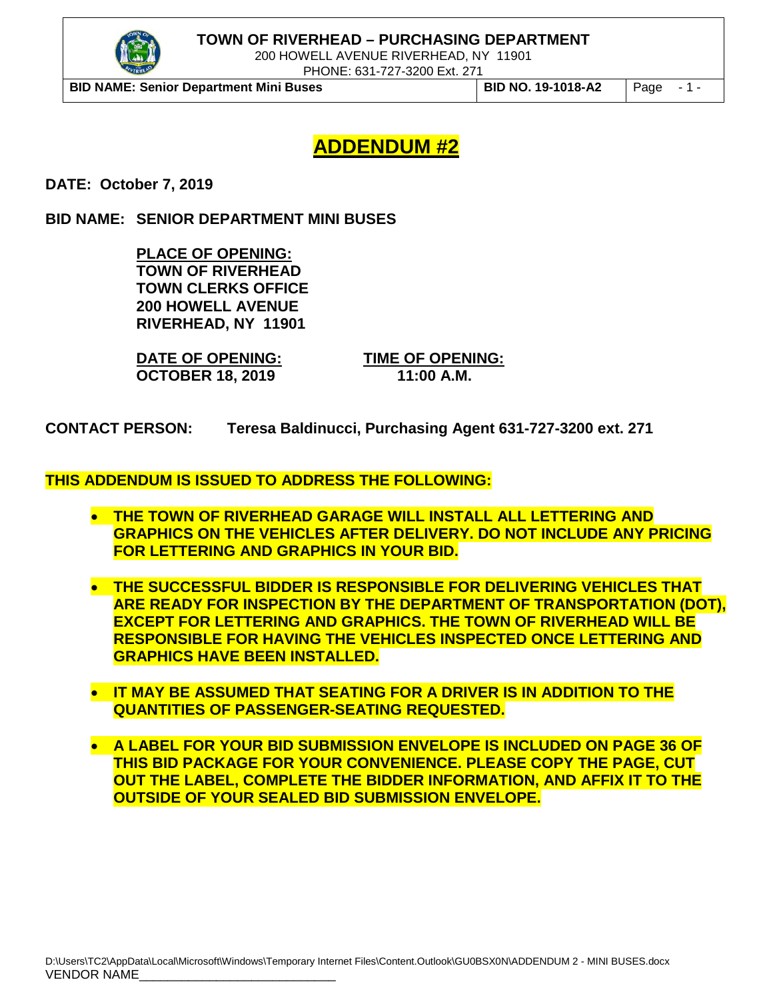

200 HOWELL AVENUE RIVERHEAD, NY 11901

PHONE: 631-727-3200 Ext. 271

**BID NAME: Senior Department Mini Buses BID NO. 19-1018-A2** Page - 1 -

# **ADDENDUM #2**

**DATE: October 7, 2019**

**BID NAME: SENIOR DEPARTMENT MINI BUSES**

**PLACE OF OPENING: TOWN OF RIVERHEAD TOWN CLERKS OFFICE 200 HOWELL AVENUE RIVERHEAD, NY 11901** 

**DATE OF OPENING: TIME OF OPENING: OCTOBER 18, 2019** 

**CONTACT PERSON: Teresa Baldinucci, Purchasing Agent 631-727-3200 ext. 271**

#### **THIS ADDENDUM IS ISSUED TO ADDRESS THE FOLLOWING:**

- **THE TOWN OF RIVERHEAD GARAGE WILL INSTALL ALL LETTERING AND GRAPHICS ON THE VEHICLES AFTER DELIVERY. DO NOT INCLUDE ANY PRICING FOR LETTERING AND GRAPHICS IN YOUR BID.**
- **THE SUCCESSFUL BIDDER IS RESPONSIBLE FOR DELIVERING VEHICLES THAT ARE READY FOR INSPECTION BY THE DEPARTMENT OF TRANSPORTATION (DOT), EXCEPT FOR LETTERING AND GRAPHICS. THE TOWN OF RIVERHEAD WILL BE RESPONSIBLE FOR HAVING THE VEHICLES INSPECTED ONCE LETTERING AND GRAPHICS HAVE BEEN INSTALLED.**
- **IT MAY BE ASSUMED THAT SEATING FOR A DRIVER IS IN ADDITION TO THE QUANTITIES OF PASSENGER-SEATING REQUESTED.**
- **A LABEL FOR YOUR BID SUBMISSION ENVELOPE IS INCLUDED ON PAGE 36 OF THIS BID PACKAGE FOR YOUR CONVENIENCE. PLEASE COPY THE PAGE, CUT OUT THE LABEL, COMPLETE THE BIDDER INFORMATION, AND AFFIX IT TO THE OUTSIDE OF YOUR SEALED BID SUBMISSION ENVELOPE.**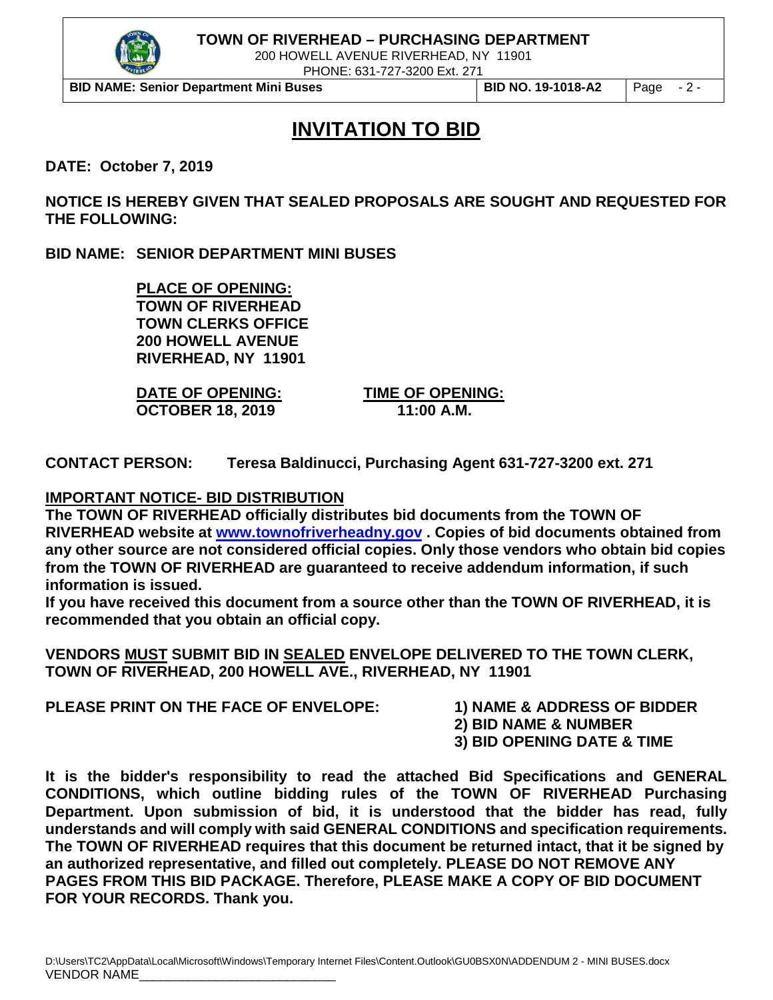

200 HOWELL AVENUE RIVERHEAD, NY 11901

PHONE: 631-727-3200 Ext. 271

**BID NAME: Senior Department Mini Buses BID NO. 19-1018-A2** Page - 2 -

# **INVITATION TO BID**

**DATE: October 7, 2019**

**NOTICE IS HEREBY GIVEN THAT SEALED PROPOSALS ARE SOUGHT AND REQUESTED FOR THE FOLLOWING:**

**BID NAME: SENIOR DEPARTMENT MINI BUSES**

**PLACE OF OPENING: TOWN OF RIVERHEAD TOWN CLERKS OFFICE 200 HOWELL AVENUE RIVERHEAD, NY 11901**

**DATE OF OPENING: TIME OF OPENING: OCTOBER 18, 2019** 

**CONTACT PERSON: Teresa Baldinucci, Purchasing Agent 631-727-3200 ext. 271**

#### **IMPORTANT NOTICE- BID DISTRIBUTION**

**The TOWN OF RIVERHEAD officially distributes bid documents from the TOWN OF RIVERHEAD website at [www.townofriverheadny.gov](http://www.townofriverheadny.gov/) . Copies of bid documents obtained from any other source are not considered official copies. Only those vendors who obtain bid copies from the TOWN OF RIVERHEAD are guaranteed to receive addendum information, if such information is issued.**

**If you have received this document from a source other than the TOWN OF RIVERHEAD, it is recommended that you obtain an official copy.**

**VENDORS MUST SUBMIT BID IN SEALED ENVELOPE DELIVERED TO THE TOWN CLERK, TOWN OF RIVERHEAD, 200 HOWELL AVE., RIVERHEAD, NY 11901**

**PLEASE PRINT ON THE FACE OF ENVELOPE: 1) NAME & ADDRESS OF BIDDER**

**2) BID NAME & NUMBER**

**3) BID OPENING DATE & TIME**

**It is the bidder's responsibility to read the attached Bid Specifications and GENERAL CONDITIONS, which outline bidding rules of the TOWN OF RIVERHEAD Purchasing Department. Upon submission of bid, it is understood that the bidder has read, fully understands and will comply with said GENERAL CONDITIONS and specification requirements. The TOWN OF RIVERHEAD requires that this document be returned intact, that it be signed by an authorized representative, and filled out completely. PLEASE DO NOT REMOVE ANY PAGES FROM THIS BID PACKAGE. Therefore, PLEASE MAKE A COPY OF BID DOCUMENT FOR YOUR RECORDS. Thank you.**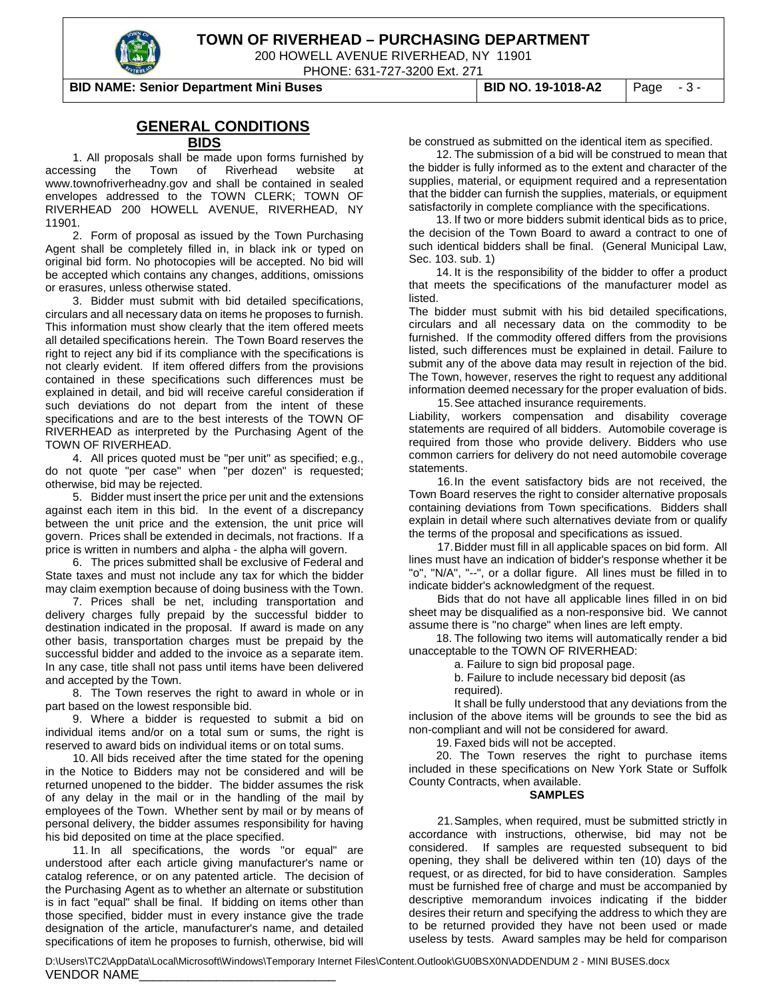

200 HOWELL AVENUE RIVERHEAD, NY 11901

PHONE: 631-727-3200 Ext. 271

**BID NAME: Senior Department Mini Buses BID NO. 19-1018-A2** Page - 3 -

#### **GENERAL CONDITIONS**

#### **BIDS**

1. All proposals shall be made upon forms furnished by accessing the Town of Riverhead website at www.townofriverheadny.gov and shall be contained in sealed envelopes addressed to the TOWN CLERK; TOWN OF RIVERHEAD 200 HOWELL AVENUE, RIVERHEAD, NY 11901.

2. Form of proposal as issued by the Town Purchasing Agent shall be completely filled in, in black ink or typed on original bid form. No photocopies will be accepted. No bid will be accepted which contains any changes, additions, omissions or erasures, unless otherwise stated.

3. Bidder must submit with bid detailed specifications, circulars and all necessary data on items he proposes to furnish. This information must show clearly that the item offered meets all detailed specifications herein. The Town Board reserves the right to reject any bid if its compliance with the specifications is not clearly evident. If item offered differs from the provisions contained in these specifications such differences must be explained in detail, and bid will receive careful consideration if such deviations do not depart from the intent of these specifications and are to the best interests of the TOWN OF RIVERHEAD as interpreted by the Purchasing Agent of the TOWN OF RIVERHEAD.

4. All prices quoted must be "per unit" as specified; e.g., do not quote "per case" when "per dozen" is requested; otherwise, bid may be rejected.

5. Bidder must insert the price per unit and the extensions against each item in this bid. In the event of a discrepancy between the unit price and the extension, the unit price will govern. Prices shall be extended in decimals, not fractions. If a price is written in numbers and alpha - the alpha will govern.

6. The prices submitted shall be exclusive of Federal and State taxes and must not include any tax for which the bidder may claim exemption because of doing business with the Town.

7. Prices shall be net, including transportation and delivery charges fully prepaid by the successful bidder to destination indicated in the proposal. If award is made on any other basis, transportation charges must be prepaid by the successful bidder and added to the invoice as a separate item. In any case, title shall not pass until items have been delivered and accepted by the Town.

8. The Town reserves the right to award in whole or in part based on the lowest responsible bid.

9. Where a bidder is requested to submit a bid on individual items and/or on a total sum or sums, the right is reserved to award bids on individual items or on total sums.

10. All bids received after the time stated for the opening in the Notice to Bidders may not be considered and will be returned unopened to the bidder. The bidder assumes the risk of any delay in the mail or in the handling of the mail by employees of the Town. Whether sent by mail or by means of personal delivery, the bidder assumes responsibility for having his bid deposited on time at the place specified.

11. In all specifications, the words "or equal" are understood after each article giving manufacturer's name or catalog reference, or on any patented article. The decision of the Purchasing Agent as to whether an alternate or substitution is in fact "equal" shall be final. If bidding on items other than those specified, bidder must in every instance give the trade designation of the article, manufacturer's name, and detailed specifications of item he proposes to furnish, otherwise, bid will

be construed as submitted on the identical item as specified.

12. The submission of a bid will be construed to mean that the bidder is fully informed as to the extent and character of the supplies, material, or equipment required and a representation that the bidder can furnish the supplies, materials, or equipment satisfactorily in complete compliance with the specifications.

13. If two or more bidders submit identical bids as to price, the decision of the Town Board to award a contract to one of such identical bidders shall be final. (General Municipal Law, Sec. 103. sub. 1)

14. It is the responsibility of the bidder to offer a product that meets the specifications of the manufacturer model as listed.

The bidder must submit with his bid detailed specifications, circulars and all necessary data on the commodity to be furnished. If the commodity offered differs from the provisions listed, such differences must be explained in detail. Failure to submit any of the above data may result in rejection of the bid. The Town, however, reserves the right to request any additional information deemed necessary for the proper evaluation of bids. 15.See attached insurance requirements.

Liability, workers compensation and disability coverage statements are required of all bidders. Automobile coverage is required from those who provide delivery. Bidders who use common carriers for delivery do not need automobile coverage statements.

16.In the event satisfactory bids are not received, the Town Board reserves the right to consider alternative proposals containing deviations from Town specifications. Bidders shall explain in detail where such alternatives deviate from or qualify the terms of the proposal and specifications as issued.

17.Bidder must fill in all applicable spaces on bid form. All lines must have an indication of bidder's response whether it be "o", "N/A", "--", or a dollar figure. All lines must be filled in to indicate bidder's acknowledgment of the request.

Bids that do not have all applicable lines filled in on bid sheet may be disqualified as a non-responsive bid. We cannot assume there is "no charge" when lines are left empty.

18. The following two items will automatically render a bid unacceptable to the TOWN OF RIVERHEAD:

a. Failure to sign bid proposal page.

b. Failure to include necessary bid deposit (as required).

It shall be fully understood that any deviations from the inclusion of the above items will be grounds to see the bid as non-compliant and will not be considered for award.

19. Faxed bids will not be accepted.

20. The Town reserves the right to purchase items included in these specifications on New York State or Suffolk County Contracts, when available.

#### **SAMPLES**

21.Samples, when required, must be submitted strictly in accordance with instructions, otherwise, bid may not be considered. If samples are requested subsequent to bid If samples are requested subsequent to bid opening, they shall be delivered within ten (10) days of the request, or as directed, for bid to have consideration. Samples must be furnished free of charge and must be accompanied by descriptive memorandum invoices indicating if the bidder desires their return and specifying the address to which they are to be returned provided they have not been used or made useless by tests. Award samples may be held for comparison

D:\Users\TC2\AppData\Local\Microsoft\Windows\Temporary Internet Files\Content.Outlook\GU0BSX0N\ADDENDUM 2 - MINI BUSES.docx VENDOR NAME\_\_\_\_\_\_\_\_\_\_\_\_\_\_\_\_\_\_\_\_\_\_\_\_\_\_\_\_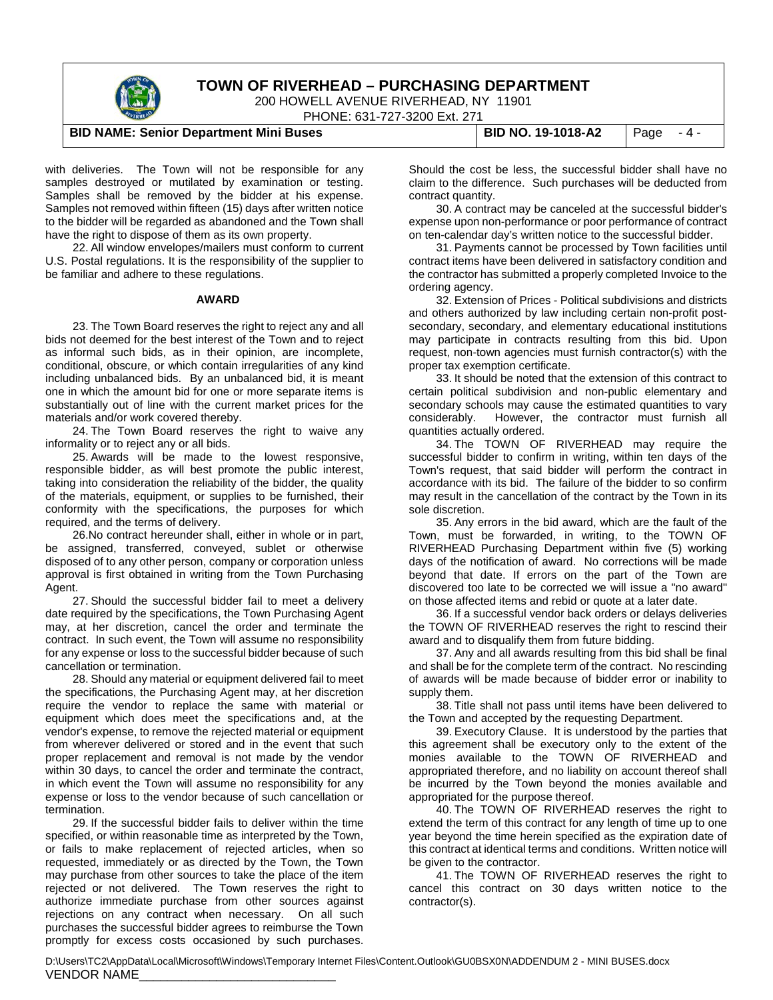

200 HOWELL AVENUE RIVERHEAD, NY 11901

PHONE: 631-727-3200 Ext. 271

#### **BID NAME: Senior Department Mini Buses BID NO. 19-1018-A2** Page - 4 -

with deliveries. The Town will not be responsible for any samples destroyed or mutilated by examination or testing. Samples shall be removed by the bidder at his expense. Samples not removed within fifteen (15) days after written notice to the bidder will be regarded as abandoned and the Town shall have the right to dispose of them as its own property.

22. All window envelopes/mailers must conform to current U.S. Postal regulations. It is the responsibility of the supplier to be familiar and adhere to these regulations.

#### **AWARD**

23. The Town Board reserves the right to reject any and all bids not deemed for the best interest of the Town and to reject as informal such bids, as in their opinion, are incomplete, conditional, obscure, or which contain irregularities of any kind including unbalanced bids. By an unbalanced bid, it is meant one in which the amount bid for one or more separate items is substantially out of line with the current market prices for the materials and/or work covered thereby.

24. The Town Board reserves the right to waive any informality or to reject any or all bids.

25. Awards will be made to the lowest responsive, responsible bidder, as will best promote the public interest, taking into consideration the reliability of the bidder, the quality of the materials, equipment, or supplies to be furnished, their conformity with the specifications, the purposes for which required, and the terms of delivery.

26.No contract hereunder shall, either in whole or in part, be assigned, transferred, conveyed, sublet or otherwise disposed of to any other person, company or corporation unless approval is first obtained in writing from the Town Purchasing Agent.

27. Should the successful bidder fail to meet a delivery date required by the specifications, the Town Purchasing Agent may, at her discretion, cancel the order and terminate the contract. In such event, the Town will assume no responsibility for any expense or loss to the successful bidder because of such cancellation or termination.

28. Should any material or equipment delivered fail to meet the specifications, the Purchasing Agent may, at her discretion require the vendor to replace the same with material or equipment which does meet the specifications and, at the vendor's expense, to remove the rejected material or equipment from wherever delivered or stored and in the event that such proper replacement and removal is not made by the vendor within 30 days, to cancel the order and terminate the contract, in which event the Town will assume no responsibility for any expense or loss to the vendor because of such cancellation or termination.

29. If the successful bidder fails to deliver within the time specified, or within reasonable time as interpreted by the Town, or fails to make replacement of rejected articles, when so requested, immediately or as directed by the Town, the Town may purchase from other sources to take the place of the item rejected or not delivered. The Town reserves the right to authorize immediate purchase from other sources against rejections on any contract when necessary. On all such purchases the successful bidder agrees to reimburse the Town promptly for excess costs occasioned by such purchases.

Should the cost be less, the successful bidder shall have no claim to the difference. Such purchases will be deducted from contract quantity.

30. A contract may be canceled at the successful bidder's expense upon non-performance or poor performance of contract on ten-calendar day's written notice to the successful bidder.

31. Payments cannot be processed by Town facilities until contract items have been delivered in satisfactory condition and the contractor has submitted a properly completed Invoice to the ordering agency.

32. Extension of Prices - Political subdivisions and districts and others authorized by law including certain non-profit postsecondary, secondary, and elementary educational institutions may participate in contracts resulting from this bid. Upon request, non-town agencies must furnish contractor(s) with the proper tax exemption certificate.

33. It should be noted that the extension of this contract to certain political subdivision and non-public elementary and secondary schools may cause the estimated quantities to vary considerably. However, the contractor must furnish all quantities actually ordered.

34. The TOWN OF RIVERHEAD may require the successful bidder to confirm in writing, within ten days of the Town's request, that said bidder will perform the contract in accordance with its bid. The failure of the bidder to so confirm may result in the cancellation of the contract by the Town in its sole discretion.

35. Any errors in the bid award, which are the fault of the Town, must be forwarded, in writing, to the TOWN OF RIVERHEAD Purchasing Department within five (5) working days of the notification of award. No corrections will be made beyond that date. If errors on the part of the Town are discovered too late to be corrected we will issue a "no award" on those affected items and rebid or quote at a later date.

36. If a successful vendor back orders or delays deliveries the TOWN OF RIVERHEAD reserves the right to rescind their award and to disqualify them from future bidding.

37. Any and all awards resulting from this bid shall be final and shall be for the complete term of the contract. No rescinding of awards will be made because of bidder error or inability to supply them.

38. Title shall not pass until items have been delivered to the Town and accepted by the requesting Department.

39. Executory Clause. It is understood by the parties that this agreement shall be executory only to the extent of the monies available to the TOWN OF RIVERHEAD and appropriated therefore, and no liability on account thereof shall be incurred by the Town beyond the monies available and appropriated for the purpose thereof.

40. The TOWN OF RIVERHEAD reserves the right to extend the term of this contract for any length of time up to one year beyond the time herein specified as the expiration date of this contract at identical terms and conditions. Written notice will be given to the contractor.

41. The TOWN OF RIVERHEAD reserves the right to cancel this contract on 30 days written notice to the contractor(s).

D:\Users\TC2\AppData\Local\Microsoft\Windows\Temporary Internet Files\Content.Outlook\GU0BSX0N\ADDENDUM 2 - MINI BUSES.docx VENDOR NAME\_\_\_\_\_\_\_\_\_\_\_\_\_\_\_\_\_\_\_\_\_\_\_\_\_\_\_\_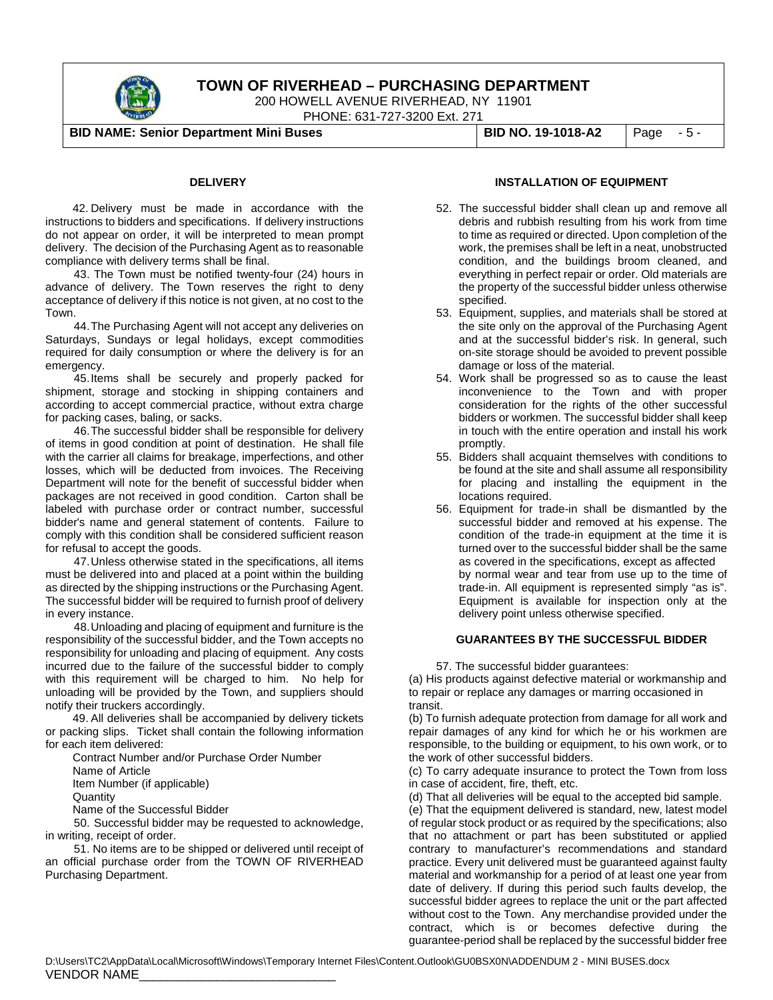

200 HOWELL AVENUE RIVERHEAD, NY 11901

PHONE: 631-727-3200 Ext. 271

**BID NAME: Senior Department Mini Buses BID NO. 19-1018-A2** Page - 5 -

#### **DELIVERY**

42. Delivery must be made in accordance with the instructions to bidders and specifications. If delivery instructions do not appear on order, it will be interpreted to mean prompt delivery. The decision of the Purchasing Agent as to reasonable compliance with delivery terms shall be final.

 43. The Town must be notified twenty-four (24) hours in advance of delivery. The Town reserves the right to deny acceptance of delivery if this notice is not given, at no cost to the Town.

44.The Purchasing Agent will not accept any deliveries on Saturdays, Sundays or legal holidays, except commodities required for daily consumption or where the delivery is for an emergency.

45.Items shall be securely and properly packed for shipment, storage and stocking in shipping containers and according to accept commercial practice, without extra charge for packing cases, baling, or sacks.

46.The successful bidder shall be responsible for delivery of items in good condition at point of destination. He shall file with the carrier all claims for breakage, imperfections, and other losses, which will be deducted from invoices. The Receiving Department will note for the benefit of successful bidder when packages are not received in good condition. Carton shall be labeled with purchase order or contract number, successful bidder's name and general statement of contents. Failure to comply with this condition shall be considered sufficient reason for refusal to accept the goods.

47.Unless otherwise stated in the specifications, all items must be delivered into and placed at a point within the building as directed by the shipping instructions or the Purchasing Agent. The successful bidder will be required to furnish proof of delivery in every instance.

48.Unloading and placing of equipment and furniture is the responsibility of the successful bidder, and the Town accepts no responsibility for unloading and placing of equipment. Any costs incurred due to the failure of the successful bidder to comply with this requirement will be charged to him. No help for unloading will be provided by the Town, and suppliers should notify their truckers accordingly.

49. All deliveries shall be accompanied by delivery tickets or packing slips. Ticket shall contain the following information for each item delivered:

Contract Number and/or Purchase Order Number Name of Article Item Number (if applicable) **Quantity** 

Name of the Successful Bidder

 50. Successful bidder may be requested to acknowledge, in writing, receipt of order.

 51. No items are to be shipped or delivered until receipt of an official purchase order from the TOWN OF RIVERHEAD Purchasing Department.

#### **INSTALLATION OF EQUIPMENT**

- 52. The successful bidder shall clean up and remove all debris and rubbish resulting from his work from time to time as required or directed. Upon completion of the work, the premises shall be left in a neat, unobstructed condition, and the buildings broom cleaned, and everything in perfect repair or order. Old materials are the property of the successful bidder unless otherwise specified.
- 53. Equipment, supplies, and materials shall be stored at the site only on the approval of the Purchasing Agent and at the successful bidder's risk. In general, such on-site storage should be avoided to prevent possible damage or loss of the material.
- 54. Work shall be progressed so as to cause the least inconvenience to the Town and with proper consideration for the rights of the other successful bidders or workmen. The successful bidder shall keep in touch with the entire operation and install his work promptly.
- 55. Bidders shall acquaint themselves with conditions to be found at the site and shall assume all responsibility for placing and installing the equipment in the locations required.
- 56. Equipment for trade-in shall be dismantled by the successful bidder and removed at his expense. The condition of the trade-in equipment at the time it is turned over to the successful bidder shall be the same as covered in the specifications, except as affected by normal wear and tear from use up to the time of trade-in. All equipment is represented simply "as is". Equipment is available for inspection only at the delivery point unless otherwise specified.

#### **GUARANTEES BY THE SUCCESSFUL BIDDER**

57. The successful bidder guarantees:

(a) His products against defective material or workmanship and to repair or replace any damages or marring occasioned in transit.

(b) To furnish adequate protection from damage for all work and repair damages of any kind for which he or his workmen are responsible, to the building or equipment, to his own work, or to the work of other successful bidders.

(c) To carry adequate insurance to protect the Town from loss in case of accident, fire, theft, etc.

(d) That all deliveries will be equal to the accepted bid sample.

(e) That the equipment delivered is standard, new, latest model of regular stock product or as required by the specifications; also that no attachment or part has been substituted or applied contrary to manufacturer's recommendations and standard practice. Every unit delivered must be guaranteed against faulty material and workmanship for a period of at least one year from date of delivery. If during this period such faults develop, the successful bidder agrees to replace the unit or the part affected without cost to the Town. Any merchandise provided under the contract, which is or becomes defective during the guarantee-period shall be replaced by the successful bidder free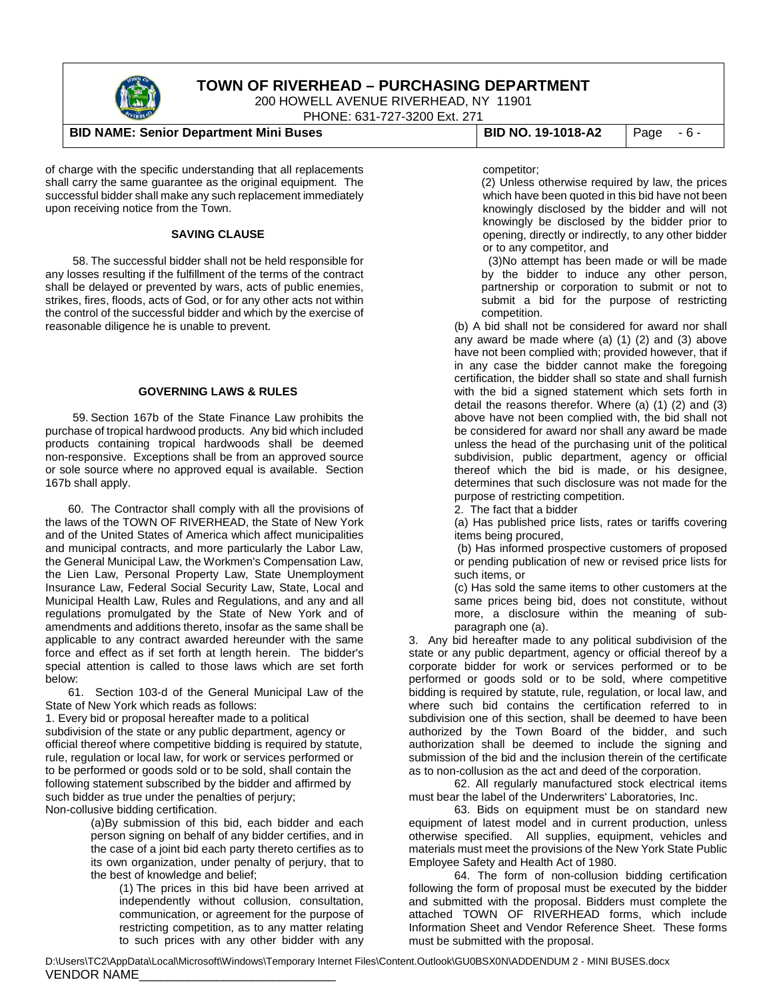

200 HOWELL AVENUE RIVERHEAD, NY 11901

PHONE: 631-727-3200 Ext. 271

#### **BID NAME: Senior Department Mini Buses BID NO. 19-1018-A2** Page - 6 -

of charge with the specific understanding that all replacements shall carry the same guarantee as the original equipment. The successful bidder shall make any such replacement immediately upon receiving notice from the Town.

#### **SAVING CLAUSE**

58. The successful bidder shall not be held responsible for any losses resulting if the fulfillment of the terms of the contract shall be delayed or prevented by wars, acts of public enemies, strikes, fires, floods, acts of God, or for any other acts not within the control of the successful bidder and which by the exercise of reasonable diligence he is unable to prevent.

#### **GOVERNING LAWS & RULES**

59. Section 167b of the State Finance Law prohibits the purchase of tropical hardwood products. Any bid which included products containing tropical hardwoods shall be deemed non-responsive. Exceptions shall be from an approved source or sole source where no approved equal is available. Section 167b shall apply.

60. The Contractor shall comply with all the provisions of the laws of the TOWN OF RIVERHEAD, the State of New York and of the United States of America which affect municipalities and municipal contracts, and more particularly the Labor Law, the General Municipal Law, the Workmen's Compensation Law, the Lien Law, Personal Property Law, State Unemployment Insurance Law, Federal Social Security Law, State, Local and Municipal Health Law, Rules and Regulations, and any and all regulations promulgated by the State of New York and of amendments and additions thereto, insofar as the same shall be applicable to any contract awarded hereunder with the same force and effect as if set forth at length herein. The bidder's special attention is called to those laws which are set forth below:

61. Section 103-d of the General Municipal Law of the State of New York which reads as follows:

1. Every bid or proposal hereafter made to a political subdivision of the state or any public department, agency or official thereof where competitive bidding is required by statute, rule, regulation or local law, for work or services performed or to be performed or goods sold or to be sold, shall contain the following statement subscribed by the bidder and affirmed by such bidder as true under the penalties of perjury; Non-collusive bidding certification.

> (a)By submission of this bid, each bidder and each person signing on behalf of any bidder certifies, and in the case of a joint bid each party thereto certifies as to its own organization, under penalty of perjury, that to the best of knowledge and belief;

(1) The prices in this bid have been arrived at independently without collusion, consultation, communication, or agreement for the purpose of restricting competition, as to any matter relating to such prices with any other bidder with any

competitor;

(2) Unless otherwise required by law, the prices which have been quoted in this bid have not been knowingly disclosed by the bidder and will not knowingly be disclosed by the bidder prior to opening, directly or indirectly, to any other bidder or to any competitor, and

(3)No attempt has been made or will be made by the bidder to induce any other person, partnership or corporation to submit or not to submit a bid for the purpose of restricting competition.

(b) A bid shall not be considered for award nor shall any award be made where (a) (1) (2) and (3) above have not been complied with; provided however, that if in any case the bidder cannot make the foregoing certification, the bidder shall so state and shall furnish with the bid a signed statement which sets forth in detail the reasons therefor. Where (a) (1) (2) and (3) above have not been complied with, the bid shall not be considered for award nor shall any award be made unless the head of the purchasing unit of the political subdivision, public department, agency or official thereof which the bid is made, or his designee, determines that such disclosure was not made for the purpose of restricting competition.

2. The fact that a bidder

(a) Has published price lists, rates or tariffs covering items being procured,

(b) Has informed prospective customers of proposed or pending publication of new or revised price lists for such items, or

(c) Has sold the same items to other customers at the same prices being bid, does not constitute, without more, a disclosure within the meaning of subparagraph one (a).

3. Any bid hereafter made to any political subdivision of the state or any public department, agency or official thereof by a corporate bidder for work or services performed or to be performed or goods sold or to be sold, where competitive bidding is required by statute, rule, regulation, or local law, and where such bid contains the certification referred to in subdivision one of this section, shall be deemed to have been authorized by the Town Board of the bidder, and such authorization shall be deemed to include the signing and submission of the bid and the inclusion therein of the certificate as to non-collusion as the act and deed of the corporation.

62. All regularly manufactured stock electrical items must bear the label of the Underwriters' Laboratories, Inc.

63. Bids on equipment must be on standard new equipment of latest model and in current production, unless otherwise specified. All supplies, equipment, vehicles and materials must meet the provisions of the New York State Public Employee Safety and Health Act of 1980.

64. The form of non-collusion bidding certification following the form of proposal must be executed by the bidder and submitted with the proposal. Bidders must complete the attached TOWN OF RIVERHEAD forms, which include Information Sheet and Vendor Reference Sheet. These forms must be submitted with the proposal.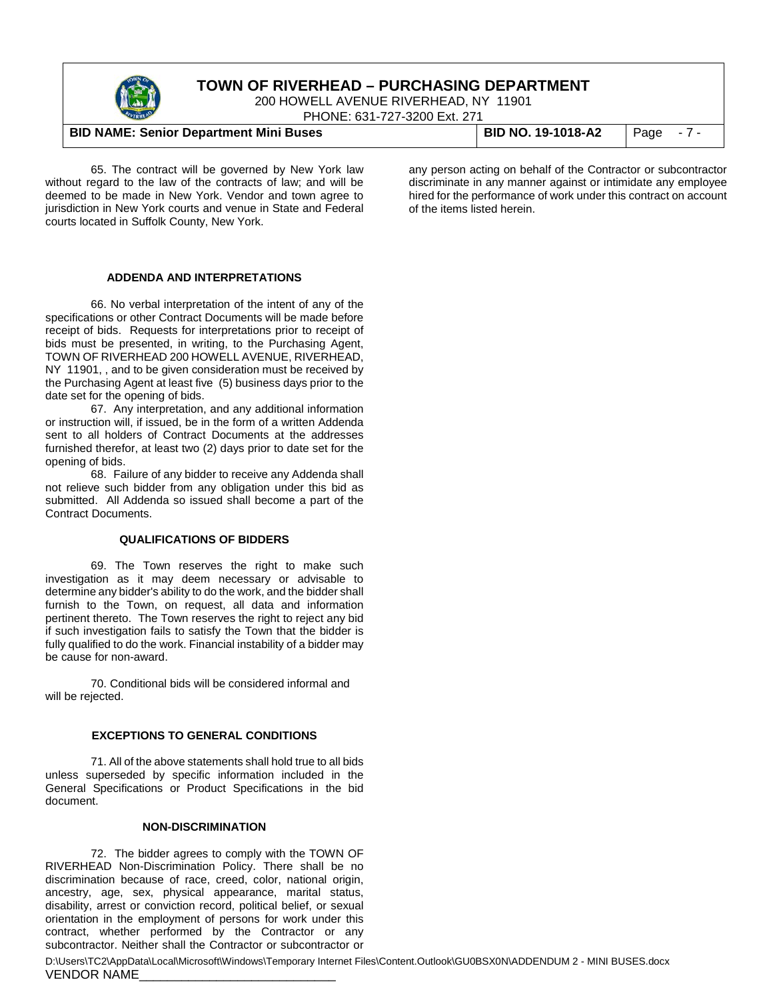

200 HOWELL AVENUE RIVERHEAD, NY 11901

PHONE: 631-727-3200 Ext. 271

#### **BID NAME: Senior Department Mini Buses BID NO. 19-1018-A2** Page - 7 -

65. The contract will be governed by New York law without regard to the law of the contracts of law; and will be deemed to be made in New York. Vendor and town agree to jurisdiction in New York courts and venue in State and Federal courts located in Suffolk County, New York.

any person acting on behalf of the Contractor or subcontractor discriminate in any manner against or intimidate any employee hired for the performance of work under this contract on account of the items listed herein.

#### **ADDENDA AND INTERPRETATIONS**

66. No verbal interpretation of the intent of any of the specifications or other Contract Documents will be made before receipt of bids. Requests for interpretations prior to receipt of bids must be presented, in writing, to the Purchasing Agent, TOWN OF RIVERHEAD 200 HOWELL AVENUE, RIVERHEAD, NY 11901, , and to be given consideration must be received by the Purchasing Agent at least five (5) business days prior to the date set for the opening of bids.

67. Any interpretation, and any additional information or instruction will, if issued, be in the form of a written Addenda sent to all holders of Contract Documents at the addresses furnished therefor, at least two (2) days prior to date set for the opening of bids.

68. Failure of any bidder to receive any Addenda shall not relieve such bidder from any obligation under this bid as submitted. All Addenda so issued shall become a part of the Contract Documents.

#### **QUALIFICATIONS OF BIDDERS**

69. The Town reserves the right to make such investigation as it may deem necessary or advisable to determine any bidder's ability to do the work, and the bidder shall furnish to the Town, on request, all data and information pertinent thereto. The Town reserves the right to reject any bid if such investigation fails to satisfy the Town that the bidder is fully qualified to do the work. Financial instability of a bidder may be cause for non-award.

70. Conditional bids will be considered informal and will be rejected.

#### **EXCEPTIONS TO GENERAL CONDITIONS**

71. All of the above statements shall hold true to all bids unless superseded by specific information included in the General Specifications or Product Specifications in the bid document.

#### **NON-DISCRIMINATION**

72. The bidder agrees to comply with the TOWN OF RIVERHEAD Non-Discrimination Policy. There shall be no discrimination because of race, creed, color, national origin, ancestry, age, sex, physical appearance, marital status, disability, arrest or conviction record, political belief, or sexual orientation in the employment of persons for work under this contract, whether performed by the Contractor or any subcontractor. Neither shall the Contractor or subcontractor or

D:\Users\TC2\AppData\Local\Microsoft\Windows\Temporary Internet Files\Content.Outlook\GU0BSX0N\ADDENDUM 2 - MINI BUSES.docx VENDOR NAME\_\_\_\_\_\_\_\_\_\_\_\_\_\_\_\_\_\_\_\_\_\_\_\_\_\_\_\_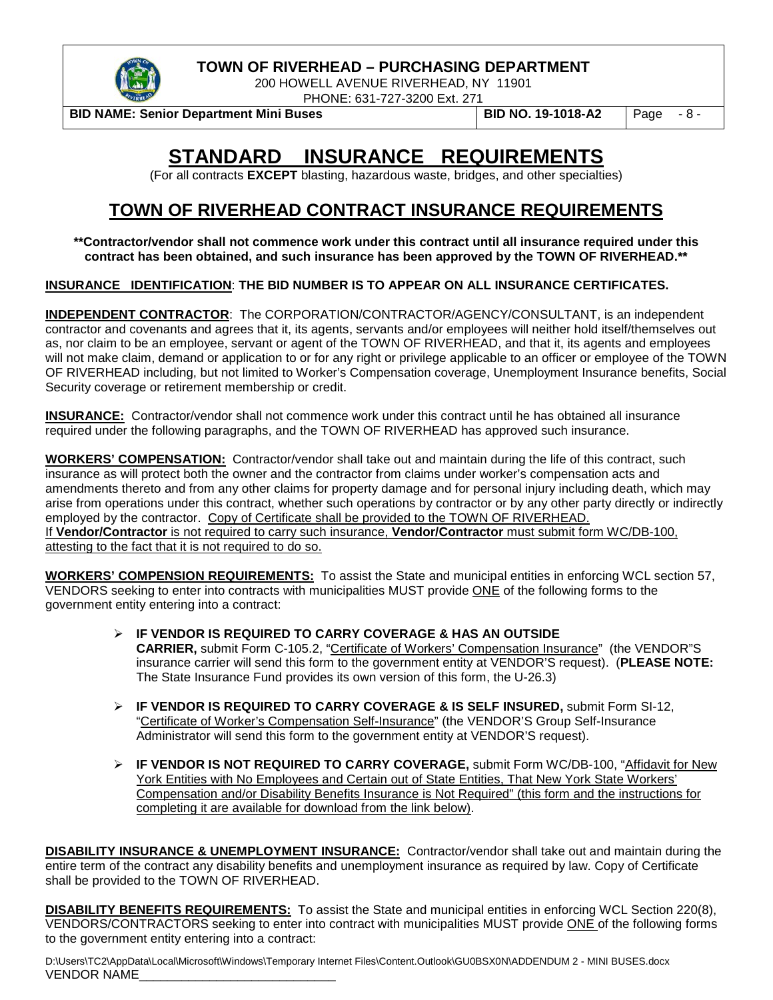

200 HOWELL AVENUE RIVERHEAD, NY 11901 PHONE: 631-727-3200 Ext. 271

**BID NAME: Senior Department Mini Buses BID NO. 19-1018-A2** Page - 8 -

# **STANDARD INSURANCE REQUIREMENTS**

(For all contracts **EXCEPT** blasting, hazardous waste, bridges, and other specialties)

# **TOWN OF RIVERHEAD CONTRACT INSURANCE REQUIREMENTS**

**\*\*Contractor/vendor shall not commence work under this contract until all insurance required under this contract has been obtained, and such insurance has been approved by the TOWN OF RIVERHEAD.\*\***

#### **INSURANCE IDENTIFICATION**: **THE BID NUMBER IS TO APPEAR ON ALL INSURANCE CERTIFICATES.**

**INDEPENDENT CONTRACTOR**: The CORPORATION/CONTRACTOR/AGENCY/CONSULTANT, is an independent contractor and covenants and agrees that it, its agents, servants and/or employees will neither hold itself/themselves out as, nor claim to be an employee, servant or agent of the TOWN OF RIVERHEAD, and that it, its agents and employees will not make claim, demand or application to or for any right or privilege applicable to an officer or employee of the TOWN OF RIVERHEAD including, but not limited to Worker's Compensation coverage, Unemployment Insurance benefits, Social Security coverage or retirement membership or credit.

**INSURANCE:** Contractor/vendor shall not commence work under this contract until he has obtained all insurance required under the following paragraphs, and the TOWN OF RIVERHEAD has approved such insurance.

**WORKERS' COMPENSATION:** Contractor/vendor shall take out and maintain during the life of this contract, such insurance as will protect both the owner and the contractor from claims under worker's compensation acts and amendments thereto and from any other claims for property damage and for personal injury including death, which may arise from operations under this contract, whether such operations by contractor or by any other party directly or indirectly employed by the contractor. Copy of Certificate shall be provided to the TOWN OF RIVERHEAD. If **Vendor/Contractor** is not required to carry such insurance, **Vendor/Contractor** must submit form WC/DB-100, attesting to the fact that it is not required to do so.

**WORKERS' COMPENSION REQUIREMENTS:** To assist the State and municipal entities in enforcing WCL section 57, VENDORS seeking to enter into contracts with municipalities MUST provide ONE of the following forms to the government entity entering into a contract:

- **IF VENDOR IS REQUIRED TO CARRY COVERAGE & HAS AN OUTSIDE CARRIER,** submit Form C-105.2, "Certificate of Workers' Compensation Insurance" (the VENDOR"S insurance carrier will send this form to the government entity at VENDOR'S request). (**PLEASE NOTE:** The State Insurance Fund provides its own version of this form, the U-26.3)
- **IF VENDOR IS REQUIRED TO CARRY COVERAGE & IS SELF INSURED,** submit Form SI-12, "Certificate of Worker's Compensation Self-Insurance" (the VENDOR'S Group Self-Insurance Administrator will send this form to the government entity at VENDOR'S request).
- **IF VENDOR IS NOT REQUIRED TO CARRY COVERAGE,** submit Form WC/DB-100, "Affidavit for New York Entities with No Employees and Certain out of State Entities, That New York State Workers' Compensation and/or Disability Benefits Insurance is Not Required" (this form and the instructions for completing it are available for download from the link below).

**DISABILITY INSURANCE & UNEMPLOYMENT INSURANCE:** Contractor/vendor shall take out and maintain during the entire term of the contract any disability benefits and unemployment insurance as required by law. Copy of Certificate shall be provided to the TOWN OF RIVERHEAD.

**DISABILITY BENEFITS REQUIREMENTS:** To assist the State and municipal entities in enforcing WCL Section 220(8), VENDORS/CONTRACTORS seeking to enter into contract with municipalities MUST provide ONE of the following forms to the government entity entering into a contract:

D:\Users\TC2\AppData\Local\Microsoft\Windows\Temporary Internet Files\Content.Outlook\GU0BSX0N\ADDENDUM 2 - MINI BUSES.docx VENDOR NAME\_\_\_\_\_\_\_\_\_\_\_\_\_\_\_\_\_\_\_\_\_\_\_\_\_\_\_\_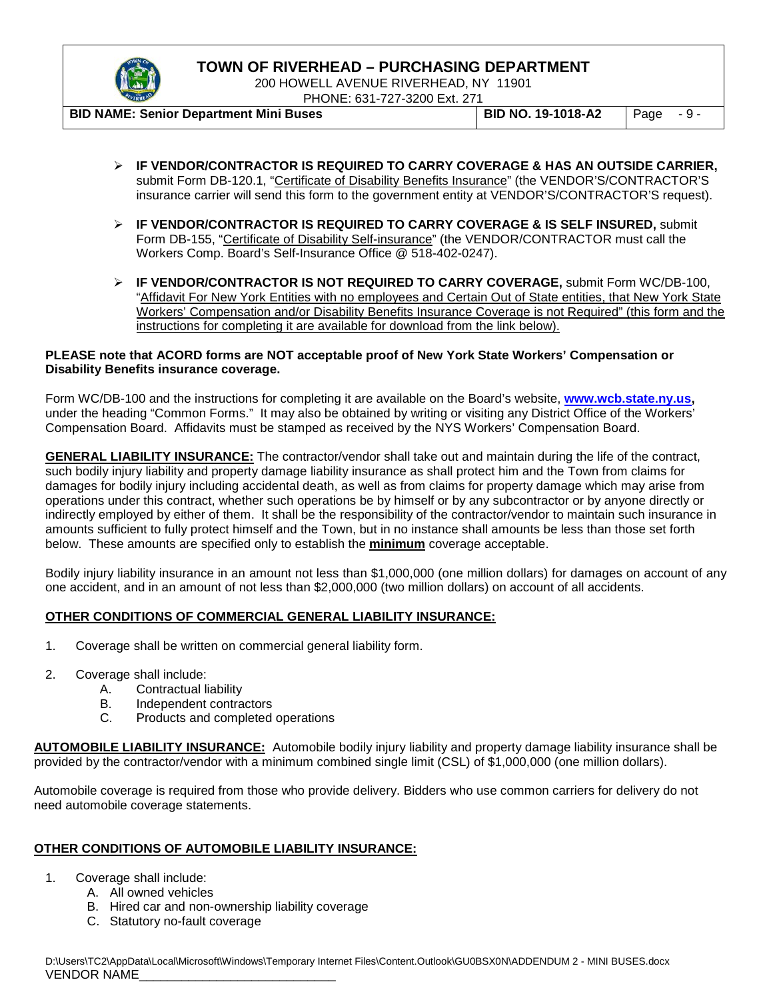

200 HOWELL AVENUE RIVERHEAD, NY 11901 PHONE: 631-727-3200 Ext. 271

**BID NAME: Senior Department Mini Buses BID NO. 19-1018-A2** Page - 9 -

- **IF VENDOR/CONTRACTOR IS REQUIRED TO CARRY COVERAGE & HAS AN OUTSIDE CARRIER,**  submit Form DB-120.1, "Certificate of Disability Benefits Insurance" (the VENDOR'S/CONTRACTOR'S insurance carrier will send this form to the government entity at VENDOR'S/CONTRACTOR'S request).
- **IF VENDOR/CONTRACTOR IS REQUIRED TO CARRY COVERAGE & IS SELF INSURED,** submit Form DB-155, "Certificate of Disability Self-insurance" (the VENDOR/CONTRACTOR must call the Workers Comp. Board's Self-Insurance Office @ 518-402-0247).
- **IF VENDOR/CONTRACTOR IS NOT REQUIRED TO CARRY COVERAGE,** submit Form WC/DB-100, "Affidavit For New York Entities with no employees and Certain Out of State entities, that New York State Workers' Compensation and/or Disability Benefits Insurance Coverage is not Required" (this form and the instructions for completing it are available for download from the link below).

#### **PLEASE note that ACORD forms are NOT acceptable proof of New York State Workers' Compensation or Disability Benefits insurance coverage.**

Form WC/DB-100 and the instructions for completing it are available on the Board's website, **[www.wcb.state.ny.us,](http://www.wcb.state.ny.us/)**  under the heading "Common Forms." It may also be obtained by writing or visiting any District Office of the Workers' Compensation Board. Affidavits must be stamped as received by the NYS Workers' Compensation Board.

**GENERAL LIABILITY INSURANCE:** The contractor/vendor shall take out and maintain during the life of the contract, such bodily injury liability and property damage liability insurance as shall protect him and the Town from claims for damages for bodily injury including accidental death, as well as from claims for property damage which may arise from operations under this contract, whether such operations be by himself or by any subcontractor or by anyone directly or indirectly employed by either of them. It shall be the responsibility of the contractor/vendor to maintain such insurance in amounts sufficient to fully protect himself and the Town, but in no instance shall amounts be less than those set forth below. These amounts are specified only to establish the **minimum** coverage acceptable.

Bodily injury liability insurance in an amount not less than \$1,000,000 (one million dollars) for damages on account of any one accident, and in an amount of not less than \$2,000,000 (two million dollars) on account of all accidents.

#### **OTHER CONDITIONS OF COMMERCIAL GENERAL LIABILITY INSURANCE:**

- 1. Coverage shall be written on commercial general liability form.
- 2. Coverage shall include:
	- A. Contractual liability
	- B. Independent contractors
	- C. Products and completed operations

**AUTOMOBILE LIABILITY INSURANCE:** Automobile bodily injury liability and property damage liability insurance shall be provided by the contractor/vendor with a minimum combined single limit (CSL) of \$1,000,000 (one million dollars).

Automobile coverage is required from those who provide delivery. Bidders who use common carriers for delivery do not need automobile coverage statements.

#### **OTHER CONDITIONS OF AUTOMOBILE LIABILITY INSURANCE:**

- 1. Coverage shall include:
	- A. All owned vehicles
		- B. Hired car and non-ownership liability coverage
		- C. Statutory no-fault coverage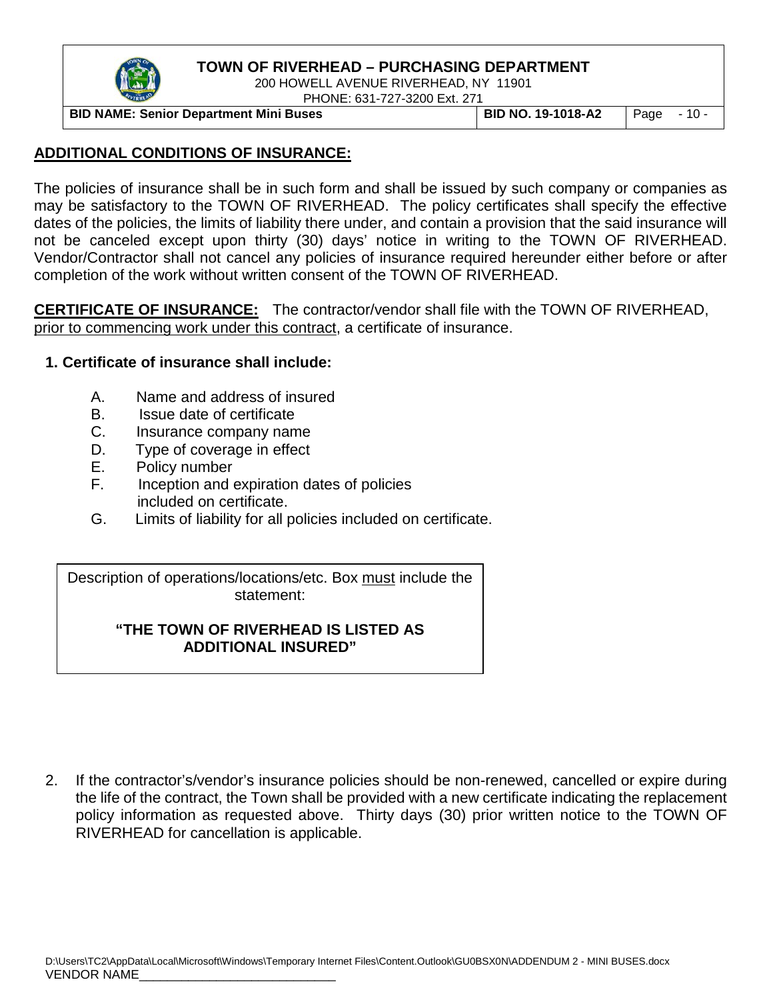

200 HOWELL AVENUE RIVERHEAD, NY 11901 PHONE: 631-727-3200 Ext. 271

**BID NAME: Senior Department Mini Buses BID NO. 19-1018-A2** Page - 10 -

## **ADDITIONAL CONDITIONS OF INSURANCE:**

The policies of insurance shall be in such form and shall be issued by such company or companies as may be satisfactory to the TOWN OF RIVERHEAD. The policy certificates shall specify the effective dates of the policies, the limits of liability there under, and contain a provision that the said insurance will not be canceled except upon thirty (30) days' notice in writing to the TOWN OF RIVERHEAD. Vendor/Contractor shall not cancel any policies of insurance required hereunder either before or after completion of the work without written consent of the TOWN OF RIVERHEAD.

**CERTIFICATE OF INSURANCE:** The contractor/vendor shall file with the TOWN OF RIVERHEAD, prior to commencing work under this contract, a certificate of insurance.

#### **1. Certificate of insurance shall include:**

- A. Name and address of insured
- B. Issue date of certificate
- C. Insurance company name
- D. Type of coverage in effect
- E. Policy number
- F. Inception and expiration dates of policies included on certificate.
- G. Limits of liability for all policies included on certificate.

Description of operations/locations/etc. Box must include the statement:

#### **"THE TOWN OF RIVERHEAD IS LISTED AS ADDITIONAL INSURED"**

2. If the contractor's/vendor's insurance policies should be non-renewed, cancelled or expire during the life of the contract, the Town shall be provided with a new certificate indicating the replacement policy information as requested above. Thirty days (30) prior written notice to the TOWN OF RIVERHEAD for cancellation is applicable.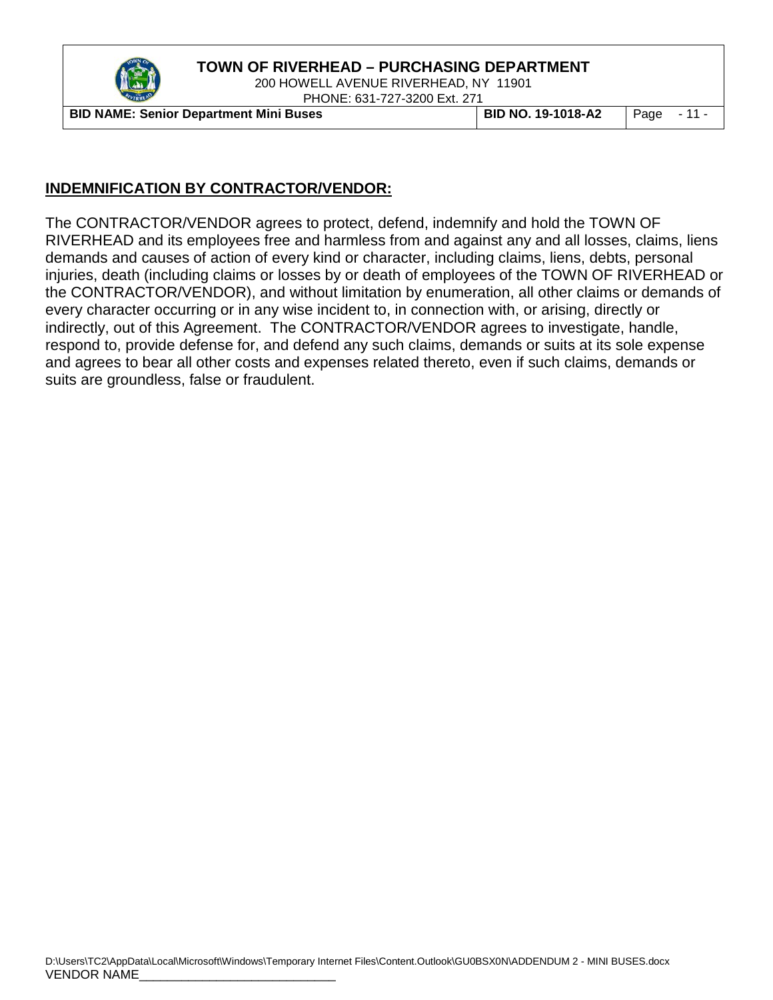

200 HOWELL AVENUE RIVERHEAD, NY 11901 PHONE: 631-727-3200 Ext. 271

**BID NAME: Senior Department Mini Buses BID NO. 19-1018-A2** Page - 11 -

#### **INDEMNIFICATION BY CONTRACTOR/VENDOR:**

The CONTRACTOR/VENDOR agrees to protect, defend, indemnify and hold the TOWN OF RIVERHEAD and its employees free and harmless from and against any and all losses, claims, liens demands and causes of action of every kind or character, including claims, liens, debts, personal injuries, death (including claims or losses by or death of employees of the TOWN OF RIVERHEAD or the CONTRACTOR/VENDOR), and without limitation by enumeration, all other claims or demands of every character occurring or in any wise incident to, in connection with, or arising, directly or indirectly, out of this Agreement. The CONTRACTOR/VENDOR agrees to investigate, handle, respond to, provide defense for, and defend any such claims, demands or suits at its sole expense and agrees to bear all other costs and expenses related thereto, even if such claims, demands or suits are groundless, false or fraudulent.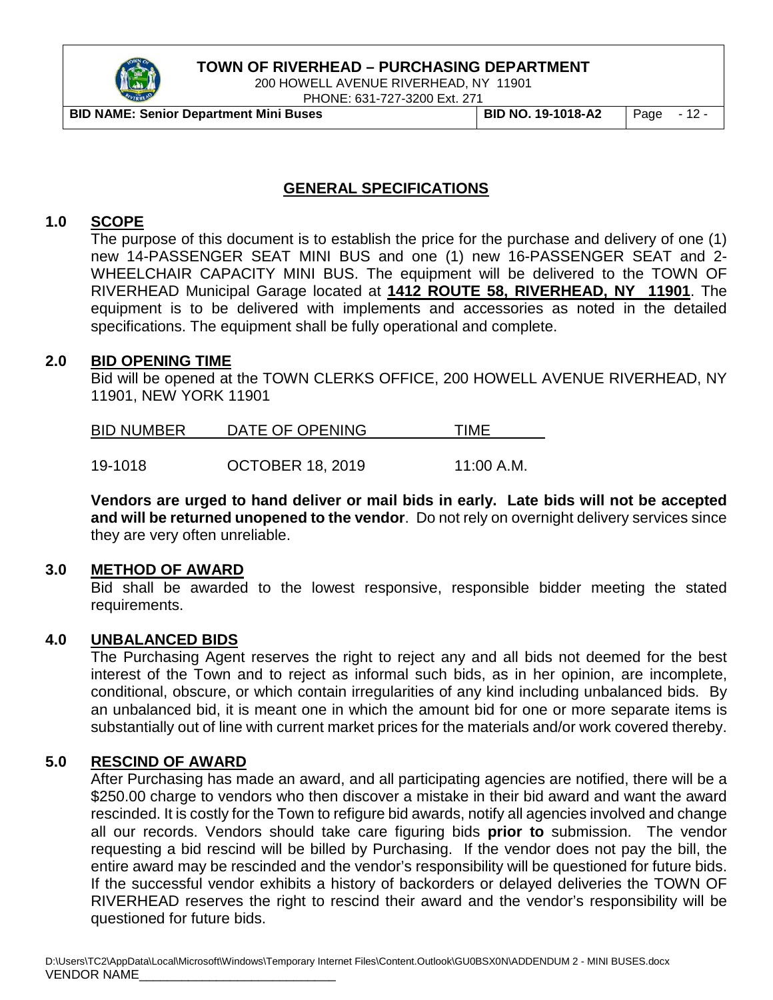

200 HOWELL AVENUE RIVERHEAD, NY 11901

PHONE: 631-727-3200 Ext. 271

**BID NAME: Senior Department Mini Buses BID NO. 19-1018-A2** Page - 12 -

#### **GENERAL SPECIFICATIONS**

#### **1.0 SCOPE**

The purpose of this document is to establish the price for the purchase and delivery of one (1) new 14-PASSENGER SEAT MINI BUS and one (1) new 16-PASSENGER SEAT and 2- WHEELCHAIR CAPACITY MINI BUS. The equipment will be delivered to the TOWN OF RIVERHEAD Municipal Garage located at **1412 ROUTE 58, RIVERHEAD, NY 11901**. The equipment is to be delivered with implements and accessories as noted in the detailed specifications. The equipment shall be fully operational and complete.

#### **2.0 BID OPENING TIME**

Bid will be opened at the TOWN CLERKS OFFICE, 200 HOWELL AVENUE RIVERHEAD, NY 11901, NEW YORK 11901

| <b>BID NUMBER</b> | DATE OF OPENING         | TIMF       |
|-------------------|-------------------------|------------|
|                   |                         |            |
| 19-1018           | <b>OCTOBER 18, 2019</b> | 11:00 A.M. |

**Vendors are urged to hand deliver or mail bids in early. Late bids will not be accepted and will be returned unopened to the vendor**. Do not rely on overnight delivery services since

they are very often unreliable.

#### **3.0 METHOD OF AWARD**

Bid shall be awarded to the lowest responsive, responsible bidder meeting the stated requirements.

#### **4.0 UNBALANCED BIDS**

The Purchasing Agent reserves the right to reject any and all bids not deemed for the best interest of the Town and to reject as informal such bids, as in her opinion, are incomplete, conditional, obscure, or which contain irregularities of any kind including unbalanced bids. By an unbalanced bid, it is meant one in which the amount bid for one or more separate items is substantially out of line with current market prices for the materials and/or work covered thereby.

#### **5.0 RESCIND OF AWARD**

After Purchasing has made an award, and all participating agencies are notified, there will be a \$250.00 charge to vendors who then discover a mistake in their bid award and want the award rescinded. It is costly for the Town to refigure bid awards, notify all agencies involved and change all our records. Vendors should take care figuring bids **prior to** submission. The vendor requesting a bid rescind will be billed by Purchasing. If the vendor does not pay the bill, the entire award may be rescinded and the vendor's responsibility will be questioned for future bids. If the successful vendor exhibits a history of backorders or delayed deliveries the TOWN OF RIVERHEAD reserves the right to rescind their award and the vendor's responsibility will be questioned for future bids.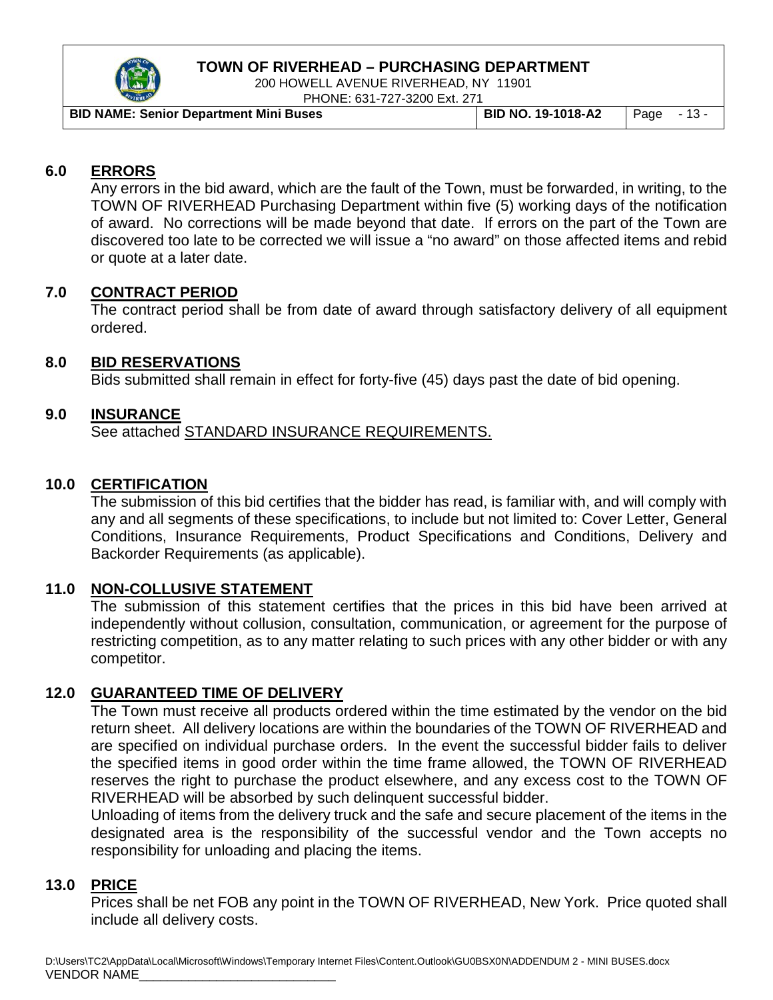

200 HOWELL AVENUE RIVERHEAD, NY 11901 PHONE: 631-727-3200 Ext. 271

| <b>BID NAME: Senior Department Mini Buses</b> | BID NO. 19-1018-A2 | $\vert$ Page $\vert$ - 13 - |  |
|-----------------------------------------------|--------------------|-----------------------------|--|

## **6.0 ERRORS**

Any errors in the bid award, which are the fault of the Town, must be forwarded, in writing, to the TOWN OF RIVERHEAD Purchasing Department within five (5) working days of the notification of award. No corrections will be made beyond that date. If errors on the part of the Town are discovered too late to be corrected we will issue a "no award" on those affected items and rebid or quote at a later date.

#### **7.0 CONTRACT PERIOD**

The contract period shall be from date of award through satisfactory delivery of all equipment ordered.

#### **8.0 BID RESERVATIONS**

Bids submitted shall remain in effect for forty-five (45) days past the date of bid opening.

#### **9.0 INSURANCE**

See attached STANDARD INSURANCE REQUIREMENTS.

#### **10.0 CERTIFICATION**

The submission of this bid certifies that the bidder has read, is familiar with, and will comply with any and all segments of these specifications, to include but not limited to: Cover Letter, General Conditions, Insurance Requirements, Product Specifications and Conditions, Delivery and Backorder Requirements (as applicable).

## **11.0 NON-COLLUSIVE STATEMENT**

The submission of this statement certifies that the prices in this bid have been arrived at independently without collusion, consultation, communication, or agreement for the purpose of restricting competition, as to any matter relating to such prices with any other bidder or with any competitor.

## **12.0 GUARANTEED TIME OF DELIVERY**

The Town must receive all products ordered within the time estimated by the vendor on the bid return sheet. All delivery locations are within the boundaries of the TOWN OF RIVERHEAD and are specified on individual purchase orders. In the event the successful bidder fails to deliver the specified items in good order within the time frame allowed, the TOWN OF RIVERHEAD reserves the right to purchase the product elsewhere, and any excess cost to the TOWN OF RIVERHEAD will be absorbed by such delinquent successful bidder.

Unloading of items from the delivery truck and the safe and secure placement of the items in the designated area is the responsibility of the successful vendor and the Town accepts no responsibility for unloading and placing the items.

#### **13.0 PRICE**

Prices shall be net FOB any point in the TOWN OF RIVERHEAD, New York. Price quoted shall include all delivery costs.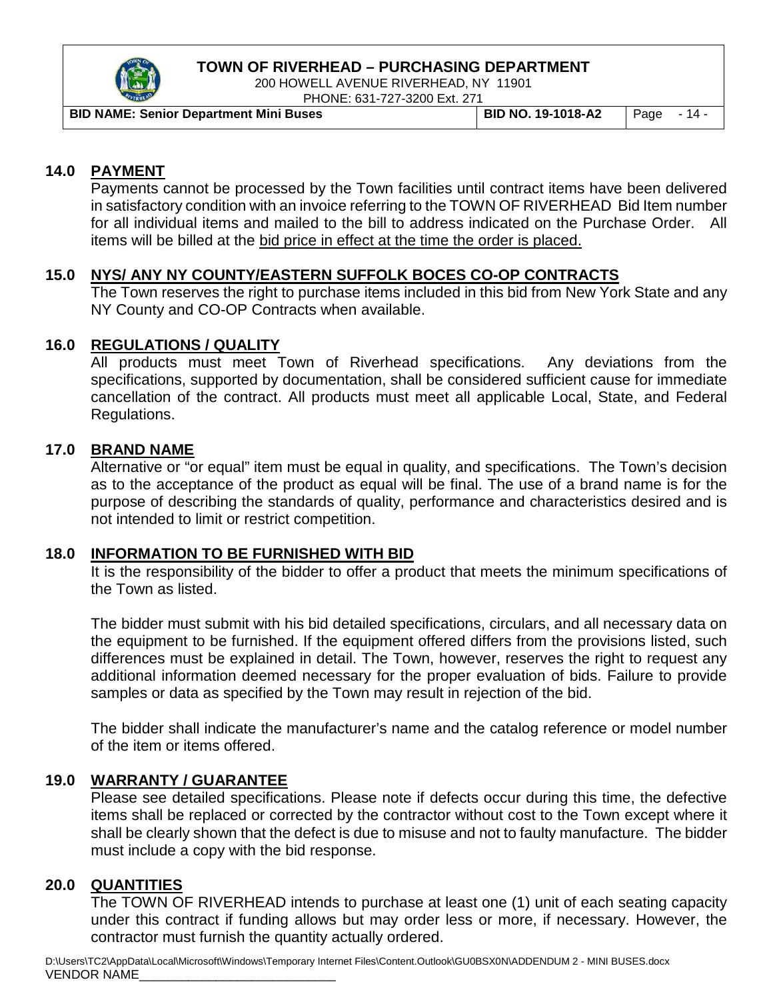

200 HOWELL AVENUE RIVERHEAD, NY 11901 PHONE: 631-727-3200 Ext. 271

| <b>BID NAME: Senior Department Mini Buses</b> | <b>BID NO. 19-1018-A2</b> | $\vert$ Page $-14$ - |  |
|-----------------------------------------------|---------------------------|----------------------|--|

#### **14.0 PAYMENT**

Payments cannot be processed by the Town facilities until contract items have been delivered in satisfactory condition with an invoice referring to the TOWN OF RIVERHEAD Bid Item number for all individual items and mailed to the bill to address indicated on the Purchase Order. All items will be billed at the bid price in effect at the time the order is placed.

#### **15.0 NYS/ ANY NY COUNTY/EASTERN SUFFOLK BOCES CO-OP CONTRACTS**

The Town reserves the right to purchase items included in this bid from New York State and any NY County and CO-OP Contracts when available.

#### **16.0 REGULATIONS / QUALITY**

All products must meet Town of Riverhead specifications. Any deviations from the specifications, supported by documentation, shall be considered sufficient cause for immediate cancellation of the contract. All products must meet all applicable Local, State, and Federal Regulations.

#### **17.0 BRAND NAME**

Alternative or "or equal" item must be equal in quality, and specifications. The Town's decision as to the acceptance of the product as equal will be final. The use of a brand name is for the purpose of describing the standards of quality, performance and characteristics desired and is not intended to limit or restrict competition.

#### **18.0 INFORMATION TO BE FURNISHED WITH BID**

It is the responsibility of the bidder to offer a product that meets the minimum specifications of the Town as listed.

The bidder must submit with his bid detailed specifications, circulars, and all necessary data on the equipment to be furnished. If the equipment offered differs from the provisions listed, such differences must be explained in detail. The Town, however, reserves the right to request any additional information deemed necessary for the proper evaluation of bids. Failure to provide samples or data as specified by the Town may result in rejection of the bid.

The bidder shall indicate the manufacturer's name and the catalog reference or model number of the item or items offered.

#### **19.0 WARRANTY / GUARANTEE**

Please see detailed specifications. Please note if defects occur during this time, the defective items shall be replaced or corrected by the contractor without cost to the Town except where it shall be clearly shown that the defect is due to misuse and not to faulty manufacture. The bidder must include a copy with the bid response.

## **20.0 QUANTITIES**

The TOWN OF RIVERHEAD intends to purchase at least one (1) unit of each seating capacity under this contract if funding allows but may order less or more, if necessary. However, the contractor must furnish the quantity actually ordered.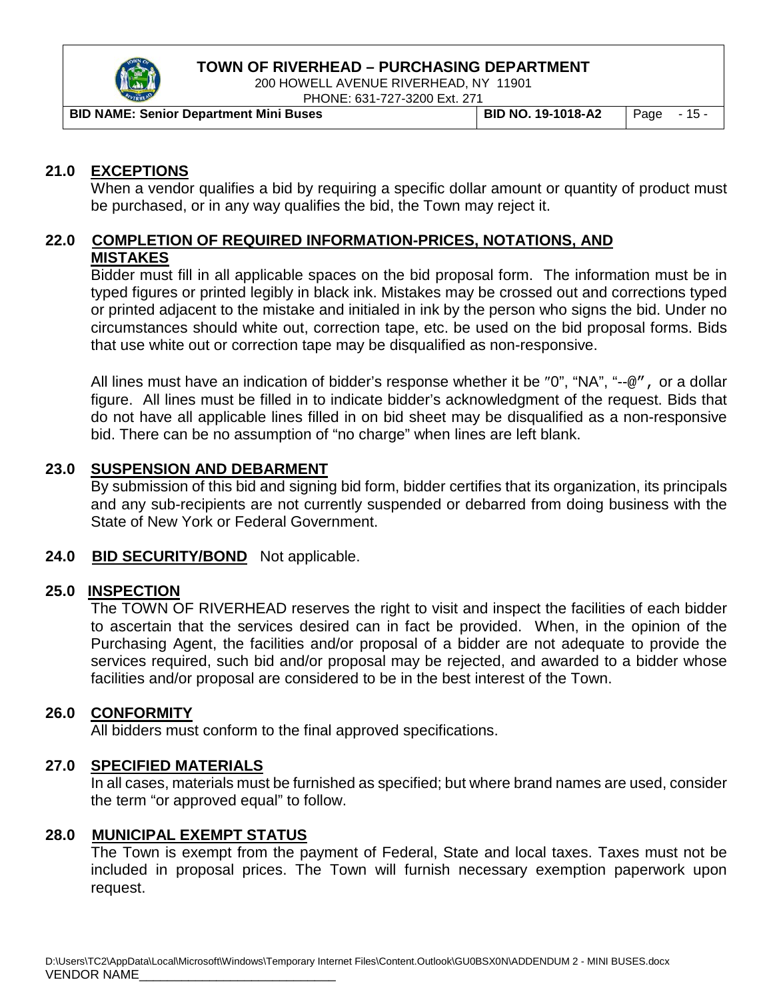

200 HOWELL AVENUE RIVERHEAD, NY 11901 PHONE: 631-727-3200 Ext. 271

| <b>BID NAME: Senior Department Mini Buses</b> | BID NO. 19-1018-A2 | Page - 15 - |  |
|-----------------------------------------------|--------------------|-------------|--|

#### **21.0 EXCEPTIONS**

When a vendor qualifies a bid by requiring a specific dollar amount or quantity of product must be purchased, or in any way qualifies the bid, the Town may reject it.

## **22.0 COMPLETION OF REQUIRED INFORMATION-PRICES, NOTATIONS, AND MISTAKES**

Bidder must fill in all applicable spaces on the bid proposal form. The information must be in typed figures or printed legibly in black ink. Mistakes may be crossed out and corrections typed or printed adjacent to the mistake and initialed in ink by the person who signs the bid. Under no circumstances should white out, correction tape, etc. be used on the bid proposal forms. Bids that use white out or correction tape may be disqualified as non-responsive.

All lines must have an indication of bidder's response whether it be "0", "NA", "--@", or a dollar figure. All lines must be filled in to indicate bidder's acknowledgment of the request. Bids that do not have all applicable lines filled in on bid sheet may be disqualified as a non-responsive bid. There can be no assumption of "no charge" when lines are left blank.

#### **23.0 SUSPENSION AND DEBARMENT**

By submission of this bid and signing bid form, bidder certifies that its organization, its principals and any sub-recipients are not currently suspended or debarred from doing business with the State of New York or Federal Government.

#### **24.0 BID SECURITY/BOND** Not applicable.

#### **25.0 INSPECTION**

The TOWN OF RIVERHEAD reserves the right to visit and inspect the facilities of each bidder to ascertain that the services desired can in fact be provided. When, in the opinion of the Purchasing Agent, the facilities and/or proposal of a bidder are not adequate to provide the services required, such bid and/or proposal may be rejected, and awarded to a bidder whose facilities and/or proposal are considered to be in the best interest of the Town.

#### **26.0 CONFORMITY**

All bidders must conform to the final approved specifications.

#### **27.0 SPECIFIED MATERIALS**

In all cases, materials must be furnished as specified; but where brand names are used, consider the term "or approved equal" to follow.

#### **28.0 MUNICIPAL EXEMPT STATUS**

The Town is exempt from the payment of Federal, State and local taxes. Taxes must not be included in proposal prices. The Town will furnish necessary exemption paperwork upon request.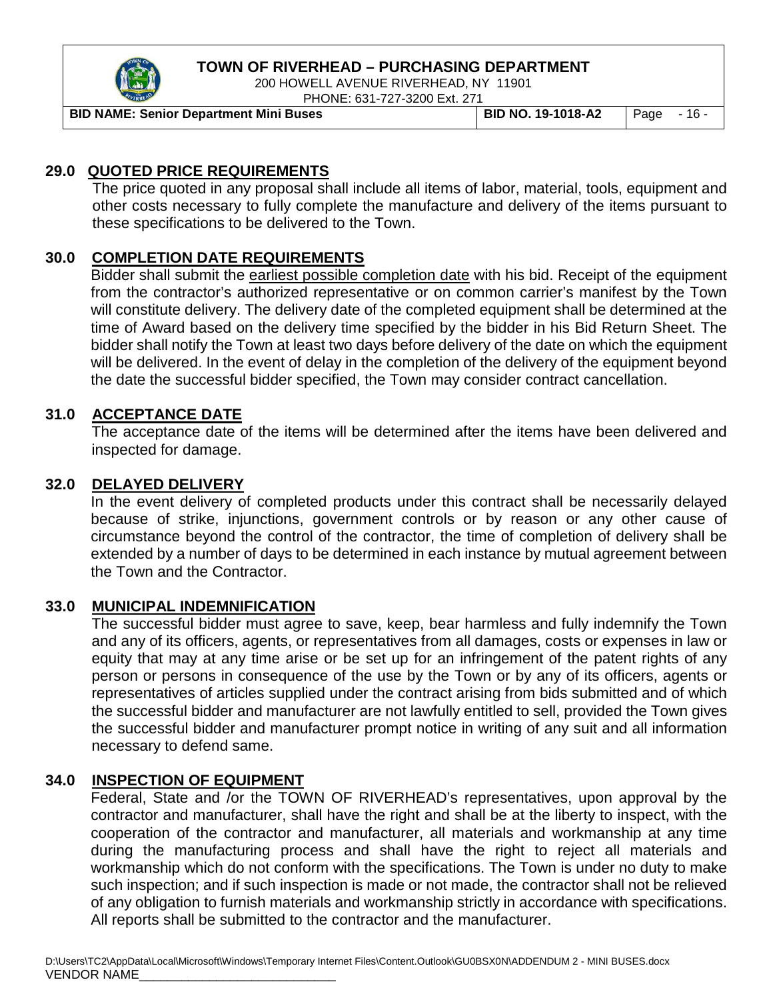

200 HOWELL AVENUE RIVERHEAD, NY 11901 PHONE: 631-727-3200 Ext. 271

**BID NAME: Senior Department Mini Buses BID NO. 19-1018-A2** Page - 16 -

## **29.0 QUOTED PRICE REQUIREMENTS**

The price quoted in any proposal shall include all items of labor, material, tools, equipment and other costs necessary to fully complete the manufacture and delivery of the items pursuant to these specifications to be delivered to the Town.

## **30.0 COMPLETION DATE REQUIREMENTS**

Bidder shall submit the earliest possible completion date with his bid. Receipt of the equipment from the contractor's authorized representative or on common carrier's manifest by the Town will constitute delivery. The delivery date of the completed equipment shall be determined at the time of Award based on the delivery time specified by the bidder in his Bid Return Sheet. The bidder shall notify the Town at least two days before delivery of the date on which the equipment will be delivered. In the event of delay in the completion of the delivery of the equipment beyond the date the successful bidder specified, the Town may consider contract cancellation.

#### **31.0 ACCEPTANCE DATE**

The acceptance date of the items will be determined after the items have been delivered and inspected for damage.

#### **32.0 DELAYED DELIVERY**

In the event delivery of completed products under this contract shall be necessarily delayed because of strike, injunctions, government controls or by reason or any other cause of circumstance beyond the control of the contractor, the time of completion of delivery shall be extended by a number of days to be determined in each instance by mutual agreement between the Town and the Contractor.

#### **33.0 MUNICIPAL INDEMNIFICATION**

The successful bidder must agree to save, keep, bear harmless and fully indemnify the Town and any of its officers, agents, or representatives from all damages, costs or expenses in law or equity that may at any time arise or be set up for an infringement of the patent rights of any person or persons in consequence of the use by the Town or by any of its officers, agents or representatives of articles supplied under the contract arising from bids submitted and of which the successful bidder and manufacturer are not lawfully entitled to sell, provided the Town gives the successful bidder and manufacturer prompt notice in writing of any suit and all information necessary to defend same.

#### **34.0 INSPECTION OF EQUIPMENT**

Federal, State and /or the TOWN OF RIVERHEAD's representatives, upon approval by the contractor and manufacturer, shall have the right and shall be at the liberty to inspect, with the cooperation of the contractor and manufacturer, all materials and workmanship at any time during the manufacturing process and shall have the right to reject all materials and workmanship which do not conform with the specifications. The Town is under no duty to make such inspection; and if such inspection is made or not made, the contractor shall not be relieved of any obligation to furnish materials and workmanship strictly in accordance with specifications. All reports shall be submitted to the contractor and the manufacturer.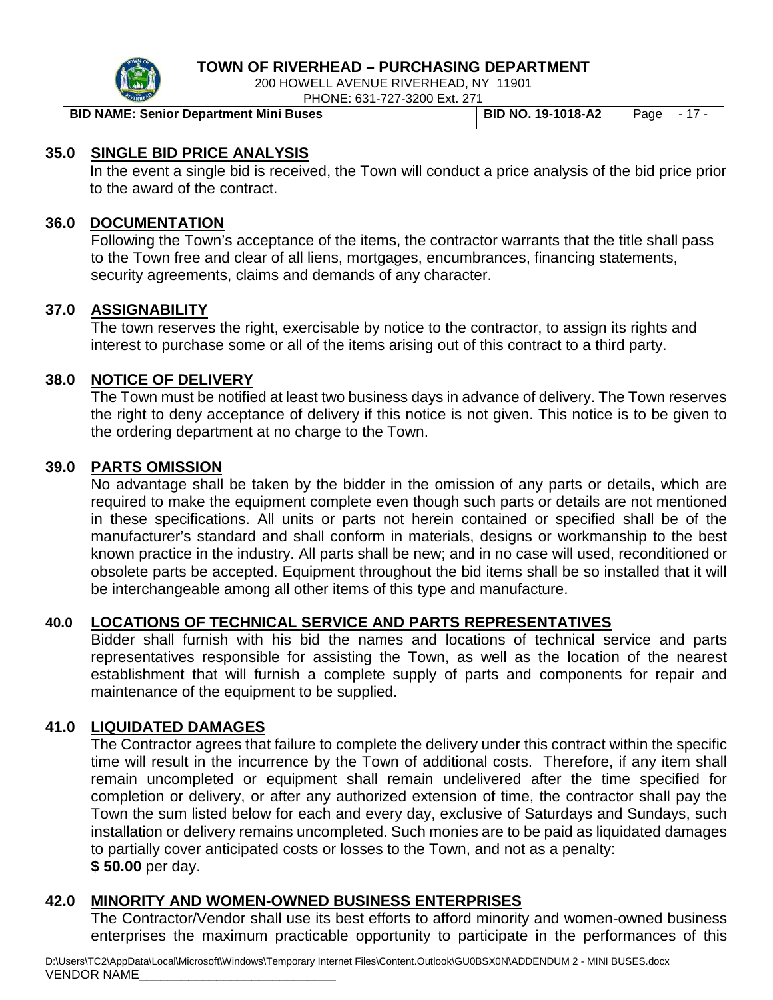

200 HOWELL AVENUE RIVERHEAD, NY 11901 PHONE: 631-727-3200 Ext. 271

**BID NAME: Senior Department Mini Buses BID NO. 19-1018-A2** Page - 17 -

#### **35.0 SINGLE BID PRICE ANALYSIS**

In the event a single bid is received, the Town will conduct a price analysis of the bid price prior to the award of the contract.

#### **36.0 DOCUMENTATION**

Following the Town's acceptance of the items, the contractor warrants that the title shall pass to the Town free and clear of all liens, mortgages, encumbrances, financing statements, security agreements, claims and demands of any character.

#### **37.0 ASSIGNABILITY**

The town reserves the right, exercisable by notice to the contractor, to assign its rights and interest to purchase some or all of the items arising out of this contract to a third party.

#### **38.0 NOTICE OF DELIVERY**

The Town must be notified at least two business days in advance of delivery. The Town reserves the right to deny acceptance of delivery if this notice is not given. This notice is to be given to the ordering department at no charge to the Town.

#### **39.0 PARTS OMISSION**

No advantage shall be taken by the bidder in the omission of any parts or details, which are required to make the equipment complete even though such parts or details are not mentioned in these specifications. All units or parts not herein contained or specified shall be of the manufacturer's standard and shall conform in materials, designs or workmanship to the best known practice in the industry. All parts shall be new; and in no case will used, reconditioned or obsolete parts be accepted. Equipment throughout the bid items shall be so installed that it will be interchangeable among all other items of this type and manufacture.

## **40.0 LOCATIONS OF TECHNICAL SERVICE AND PARTS REPRESENTATIVES**

Bidder shall furnish with his bid the names and locations of technical service and parts representatives responsible for assisting the Town, as well as the location of the nearest establishment that will furnish a complete supply of parts and components for repair and maintenance of the equipment to be supplied.

#### **41.0 LIQUIDATED DAMAGES**

The Contractor agrees that failure to complete the delivery under this contract within the specific time will result in the incurrence by the Town of additional costs. Therefore, if any item shall remain uncompleted or equipment shall remain undelivered after the time specified for completion or delivery, or after any authorized extension of time, the contractor shall pay the Town the sum listed below for each and every day, exclusive of Saturdays and Sundays, such installation or delivery remains uncompleted. Such monies are to be paid as liquidated damages to partially cover anticipated costs or losses to the Town, and not as a penalty: **\$ 50.00** per day.

## **42.0 MINORITY AND WOMEN-OWNED BUSINESS ENTERPRISES**

The Contractor/Vendor shall use its best efforts to afford minority and women-owned business enterprises the maximum practicable opportunity to participate in the performances of this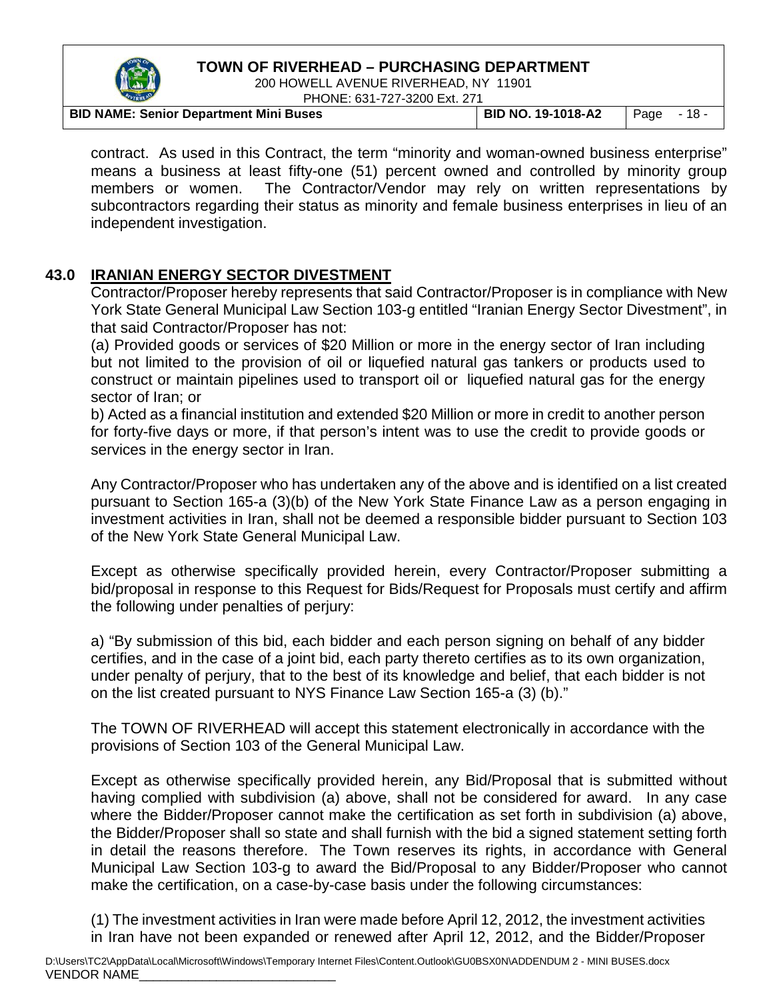

200 HOWELL AVENUE RIVERHEAD, NY 11901 **PHONE: 694-707-3000 Ext. 074** 

| $ -$                                          | <b>FRONE, 031-727-3200 EXI, 271</b> |                           |                      |  |
|-----------------------------------------------|-------------------------------------|---------------------------|----------------------|--|
| <b>BID NAME: Senior Department Mini Buses</b> |                                     | <b>BID NO. 19-1018-A2</b> | $\vert$ Page $-18$ - |  |

contract. As used in this Contract, the term "minority and woman-owned business enterprise" means a business at least fifty-one (51) percent owned and controlled by minority group members or women. The Contractor/Vendor may rely on written representations by subcontractors regarding their status as minority and female business enterprises in lieu of an independent investigation.

#### **43.0 IRANIAN ENERGY SECTOR DIVESTMENT**

Contractor/Proposer hereby represents that said Contractor/Proposer is in compliance with New York State General Municipal Law Section 103-g entitled "Iranian Energy Sector Divestment", in that said Contractor/Proposer has not:

(a) Provided goods or services of \$20 Million or more in the energy sector of Iran including but not limited to the provision of oil or liquefied natural gas tankers or products used to construct or maintain pipelines used to transport oil or liquefied natural gas for the energy sector of Iran; or

b) Acted as a financial institution and extended \$20 Million or more in credit to another person for forty-five days or more, if that person's intent was to use the credit to provide goods or services in the energy sector in Iran.

Any Contractor/Proposer who has undertaken any of the above and is identified on a list created pursuant to Section 165-a (3)(b) of the New York State Finance Law as a person engaging in investment activities in Iran, shall not be deemed a responsible bidder pursuant to Section 103 of the New York State General Municipal Law.

Except as otherwise specifically provided herein, every Contractor/Proposer submitting a bid/proposal in response to this Request for Bids/Request for Proposals must certify and affirm the following under penalties of perjury:

a) "By submission of this bid, each bidder and each person signing on behalf of any bidder certifies, and in the case of a joint bid, each party thereto certifies as to its own organization, under penalty of perjury, that to the best of its knowledge and belief, that each bidder is not on the list created pursuant to NYS Finance Law Section 165-a (3) (b)."

The TOWN OF RIVERHEAD will accept this statement electronically in accordance with the provisions of Section 103 of the General Municipal Law.

Except as otherwise specifically provided herein, any Bid/Proposal that is submitted without having complied with subdivision (a) above, shall not be considered for award. In any case where the Bidder/Proposer cannot make the certification as set forth in subdivision (a) above, the Bidder/Proposer shall so state and shall furnish with the bid a signed statement setting forth in detail the reasons therefore. The Town reserves its rights, in accordance with General Municipal Law Section 103-g to award the Bid/Proposal to any Bidder/Proposer who cannot make the certification, on a case-by-case basis under the following circumstances:

(1) The investment activities in Iran were made before April 12, 2012, the investment activities in Iran have not been expanded or renewed after April 12, 2012, and the Bidder/Proposer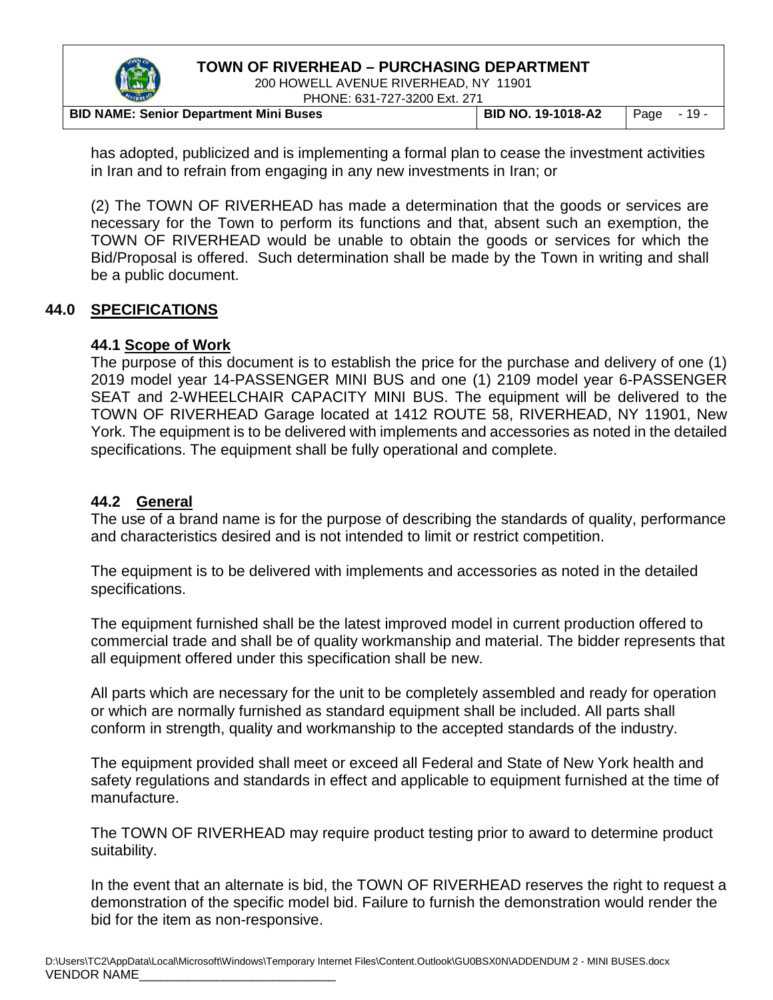

200 HOWELL AVENUE RIVERHEAD, NY 11901 PHONE: 631-727-3200 Ext. 271

|                                               | <b>THORL, 001-121-0200 LAG 21 I</b> |                    |             |  |
|-----------------------------------------------|-------------------------------------|--------------------|-------------|--|
| <b>BID NAME: Senior Department Mini Buses</b> |                                     | BID NO. 19-1018-A2 | Page $-19-$ |  |

has adopted, publicized and is implementing a formal plan to cease the investment activities in Iran and to refrain from engaging in any new investments in Iran; or

(2) The TOWN OF RIVERHEAD has made a determination that the goods or services are necessary for the Town to perform its functions and that, absent such an exemption, the TOWN OF RIVERHEAD would be unable to obtain the goods or services for which the Bid/Proposal is offered. Such determination shall be made by the Town in writing and shall be a public document.

#### **44.0 SPECIFICATIONS**

#### **44.1 Scope of Work**

The purpose of this document is to establish the price for the purchase and delivery of one (1) 2019 model year 14-PASSENGER MINI BUS and one (1) 2109 model year 6-PASSENGER SEAT and 2-WHEELCHAIR CAPACITY MINI BUS. The equipment will be delivered to the TOWN OF RIVERHEAD Garage located at 1412 ROUTE 58, RIVERHEAD, NY 11901, New York. The equipment is to be delivered with implements and accessories as noted in the detailed specifications. The equipment shall be fully operational and complete.

#### **44.2 General**

The use of a brand name is for the purpose of describing the standards of quality, performance and characteristics desired and is not intended to limit or restrict competition.

The equipment is to be delivered with implements and accessories as noted in the detailed specifications.

The equipment furnished shall be the latest improved model in current production offered to commercial trade and shall be of quality workmanship and material. The bidder represents that all equipment offered under this specification shall be new.

All parts which are necessary for the unit to be completely assembled and ready for operation or which are normally furnished as standard equipment shall be included. All parts shall conform in strength, quality and workmanship to the accepted standards of the industry.

The equipment provided shall meet or exceed all Federal and State of New York health and safety regulations and standards in effect and applicable to equipment furnished at the time of manufacture.

The TOWN OF RIVERHEAD may require product testing prior to award to determine product suitability.

In the event that an alternate is bid, the TOWN OF RIVERHEAD reserves the right to request a demonstration of the specific model bid. Failure to furnish the demonstration would render the bid for the item as non-responsive.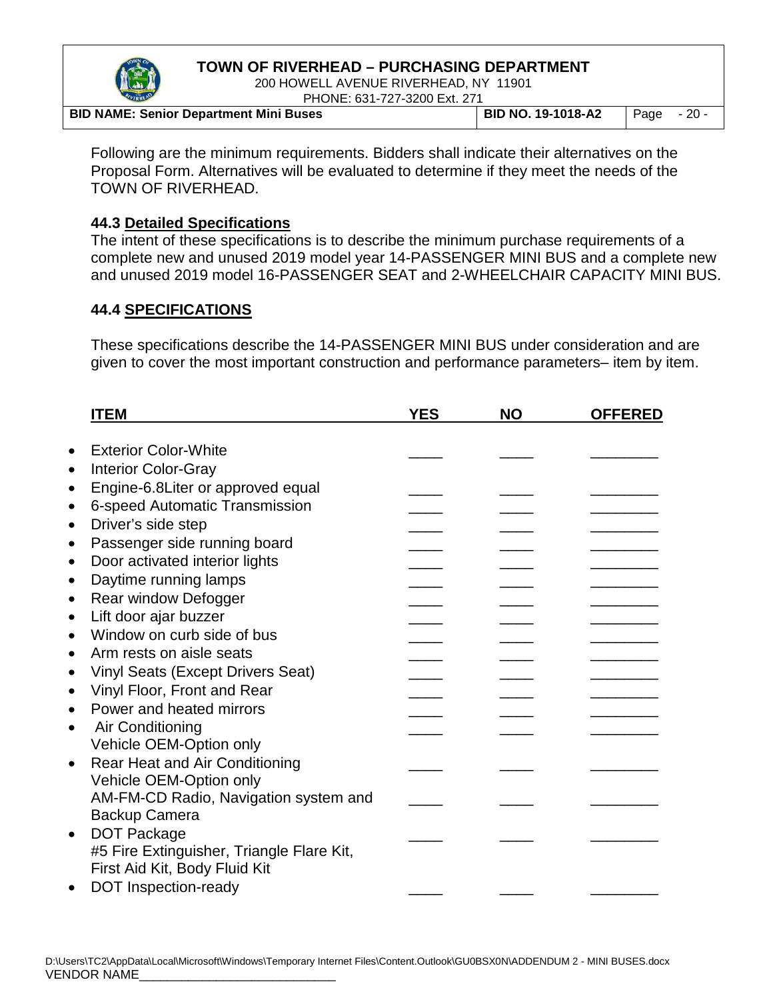

200 HOWELL AVENUE RIVERHEAD, NY 11901 PHONE: 631-727-3200 Ext. 271

| -------                                       | $\Gamma$ I IVINL. UJ I - I Z I -JZUV LAI. Z I T |                                   |  |
|-----------------------------------------------|-------------------------------------------------|-----------------------------------|--|
| <b>BID NAME: Senior Department Mini Buses</b> |                                                 | BID NO. 19-1018-A2   Page $-20 -$ |  |

Following are the minimum requirements. Bidders shall indicate their alternatives on the Proposal Form. Alternatives will be evaluated to determine if they meet the needs of the TOWN OF RIVERHEAD.

#### **44.3 Detailed Specifications**

The intent of these specifications is to describe the minimum purchase requirements of a complete new and unused 2019 model year 14-PASSENGER MINI BUS and a complete new and unused 2019 model 16-PASSENGER SEAT and 2-WHEELCHAIR CAPACITY MINI BUS.

## **44.4 SPECIFICATIONS**

These specifications describe the 14-PASSENGER MINI BUS under consideration and are given to cover the most important construction and performance parameters– item by item.

|           | <b>ITEM</b>                               | <b>YES</b> | <b>NO</b> | <b>OFFERED</b> |
|-----------|-------------------------------------------|------------|-----------|----------------|
|           | <b>Exterior Color-White</b>               |            |           |                |
| $\bullet$ |                                           |            |           |                |
| $\bullet$ | <b>Interior Color-Gray</b>                |            |           |                |
| $\bullet$ | Engine-6.8Liter or approved equal         |            |           |                |
| $\bullet$ | 6-speed Automatic Transmission            |            |           |                |
| $\bullet$ | Driver's side step                        |            |           |                |
| $\bullet$ | Passenger side running board              |            |           |                |
| $\bullet$ | Door activated interior lights            |            |           |                |
| $\bullet$ | Daytime running lamps                     |            |           |                |
| $\bullet$ | Rear window Defogger                      |            |           |                |
| $\bullet$ | Lift door ajar buzzer                     |            |           |                |
| $\bullet$ | Window on curb side of bus                |            |           |                |
| $\bullet$ | Arm rests on aisle seats                  |            |           |                |
| $\bullet$ | <b>Vinyl Seats (Except Drivers Seat)</b>  |            |           |                |
| $\bullet$ | Vinyl Floor, Front and Rear               |            |           |                |
| $\bullet$ | Power and heated mirrors                  |            |           |                |
| $\bullet$ | Air Conditioning                          |            |           |                |
|           | Vehicle OEM-Option only                   |            |           |                |
| $\bullet$ | Rear Heat and Air Conditioning            |            |           |                |
|           | Vehicle OEM-Option only                   |            |           |                |
|           | AM-FM-CD Radio, Navigation system and     |            |           |                |
|           | Backup Camera                             |            |           |                |
| $\bullet$ | <b>DOT Package</b>                        |            |           |                |
|           | #5 Fire Extinguisher, Triangle Flare Kit, |            |           |                |
|           | First Aid Kit, Body Fluid Kit             |            |           |                |
|           |                                           |            |           |                |
| $\bullet$ | DOT Inspection-ready                      |            |           |                |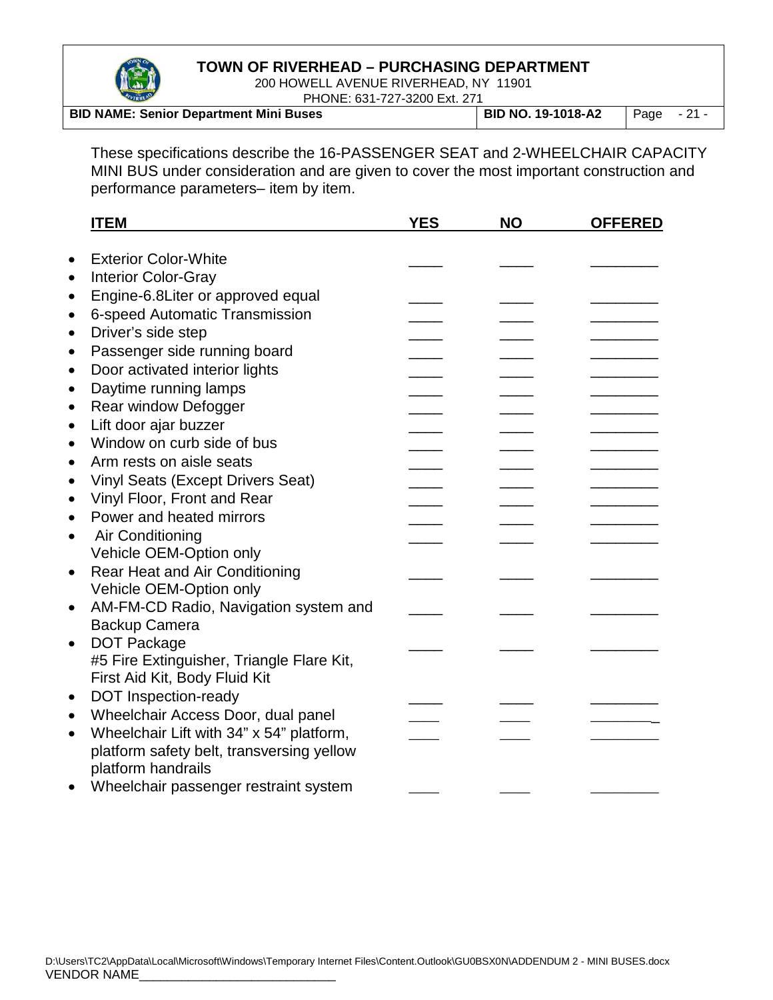

200 HOWELL AVENUE RIVERHEAD, NY 11901 PHONE: 631-727-3200 Ext. 271

|                                               | I LIONE. 00 L LZT 0200 LAG 21 L |                           |              |  |
|-----------------------------------------------|---------------------------------|---------------------------|--------------|--|
| <b>BID NAME: Senior Department Mini Buses</b> |                                 | <b>BID NO. 19-1018-A2</b> | Page $-21$ - |  |

These specifications describe the 16-PASSENGER SEAT and 2-WHEELCHAIR CAPACITY MINI BUS under consideration and are given to cover the most important construction and performance parameters– item by item.

|           | <b>ITEM</b>                                                                                                                                            | <b>YES</b> | <b>NO</b> | <b>OFFERED</b> |
|-----------|--------------------------------------------------------------------------------------------------------------------------------------------------------|------------|-----------|----------------|
|           | <b>Exterior Color-White</b>                                                                                                                            |            |           |                |
| $\bullet$ |                                                                                                                                                        |            |           |                |
| $\bullet$ | <b>Interior Color-Gray</b>                                                                                                                             |            |           |                |
|           | Engine-6.8Liter or approved equal                                                                                                                      |            |           |                |
|           | 6-speed Automatic Transmission                                                                                                                         |            |           |                |
| $\bullet$ | Driver's side step                                                                                                                                     |            |           |                |
|           | Passenger side running board                                                                                                                           |            |           |                |
| $\bullet$ | Door activated interior lights                                                                                                                         |            |           |                |
|           | Daytime running lamps                                                                                                                                  |            |           |                |
|           | Rear window Defogger                                                                                                                                   |            |           |                |
| $\bullet$ | Lift door ajar buzzer                                                                                                                                  |            |           |                |
|           | Window on curb side of bus                                                                                                                             |            |           |                |
|           | Arm rests on aisle seats                                                                                                                               |            |           |                |
|           | <b>Vinyl Seats (Except Drivers Seat)</b>                                                                                                               |            |           |                |
|           | Vinyl Floor, Front and Rear                                                                                                                            |            |           |                |
|           | Power and heated mirrors                                                                                                                               |            |           |                |
|           | Air Conditioning                                                                                                                                       |            |           |                |
|           | Vehicle OEM-Option only                                                                                                                                |            |           |                |
| $\bullet$ | <b>Rear Heat and Air Conditioning</b>                                                                                                                  |            |           |                |
|           | Vehicle OEM-Option only                                                                                                                                |            |           |                |
| $\bullet$ | AM-FM-CD Radio, Navigation system and                                                                                                                  |            |           |                |
|           | <b>Backup Camera</b>                                                                                                                                   |            |           |                |
| $\bullet$ | <b>DOT Package</b>                                                                                                                                     |            |           |                |
|           | #5 Fire Extinguisher, Triangle Flare Kit,                                                                                                              |            |           |                |
|           | First Aid Kit, Body Fluid Kit                                                                                                                          |            |           |                |
| $\bullet$ | <b>DOT Inspection-ready</b>                                                                                                                            |            |           |                |
| $\bullet$ | Wheelchair Access Door, dual panel                                                                                                                     |            |           |                |
|           | Wheelchair Lift with 34" x 54" platform,                                                                                                               |            |           |                |
| $\bullet$ |                                                                                                                                                        |            |           |                |
|           | platform safety belt, transversing yellow<br>platform handrails                                                                                        |            |           |                |
|           | the contract of the contract of the<br>the contract of the contract of the contract of the contract of the contract of the contract of the contract of |            |           |                |

• Wheelchair passenger restraint system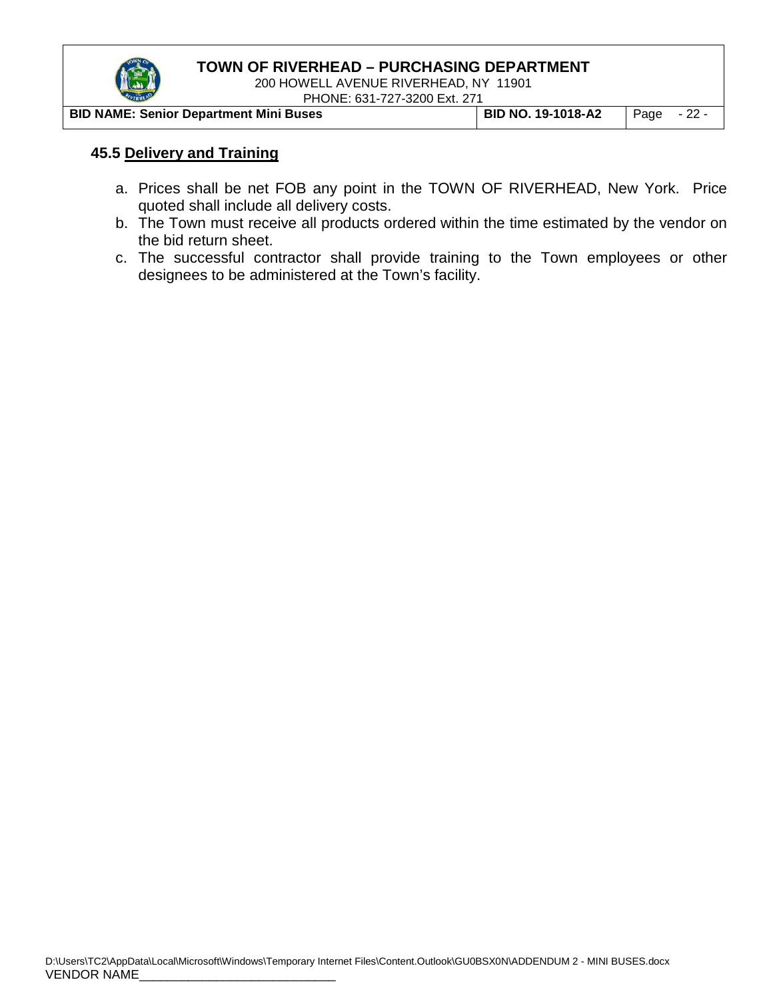

200 HOWELL AVENUE RIVERHEAD, NY 11901 PHONE: 631-727-3200 Ext. 271

| <b>BID NAME: Senior Department Mini Buses</b> | <b>BID NO. 19-1018-A2</b> $\vert$ Page - 22 - |  |
|-----------------------------------------------|-----------------------------------------------|--|

#### **45.5 Delivery and Training**

- a. Prices shall be net FOB any point in the TOWN OF RIVERHEAD, New York. Price quoted shall include all delivery costs.
- b. The Town must receive all products ordered within the time estimated by the vendor on the bid return sheet.
- c. The successful contractor shall provide training to the Town employees or other designees to be administered at the Town's facility.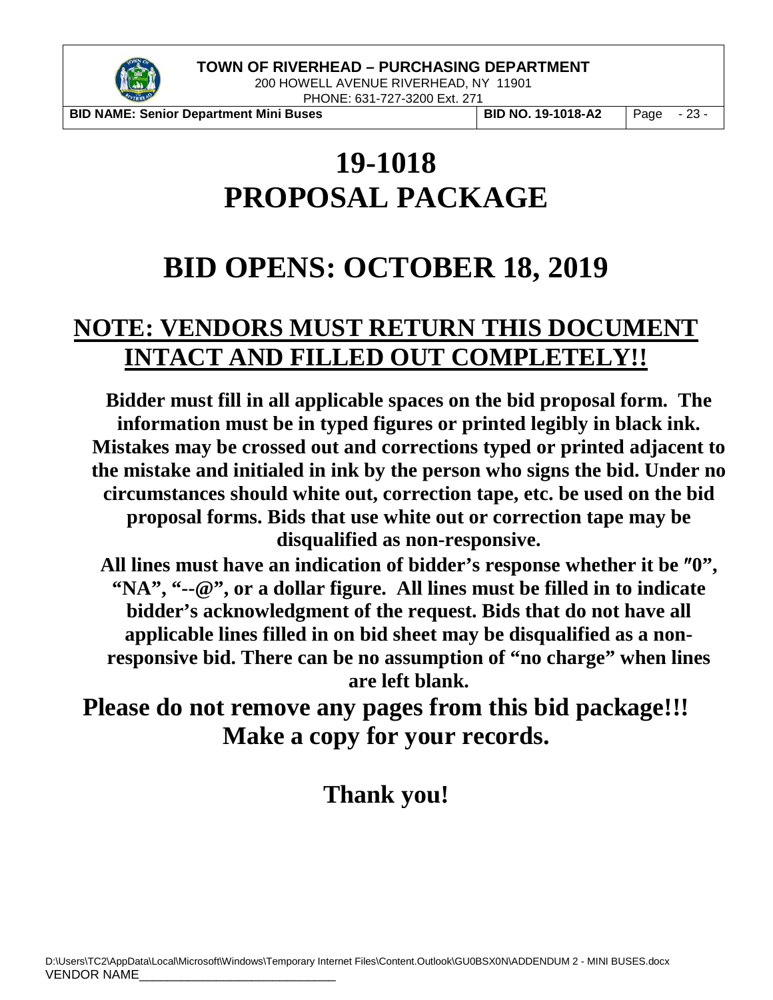

200 HOWELL AVENUE RIVERHEAD, NY 11901 PHONE: 631-727-3200 Ext. 271

**BID NAME: Senior Department Mini Buses BID NO. 19-1018-A2** Page - 23 -

# **19-1018 PROPOSAL PACKAGE**

# **BID OPENS: OCTOBER 18, 2019**

# **NOTE: VENDORS MUST RETURN THIS DOCUMENT INTACT AND FILLED OUT COMPLETELY!!**

**Bidder must fill in all applicable spaces on the bid proposal form. The information must be in typed figures or printed legibly in black ink. Mistakes may be crossed out and corrections typed or printed adjacent to the mistake and initialed in ink by the person who signs the bid. Under no circumstances should white out, correction tape, etc. be used on the bid proposal forms. Bids that use white out or correction tape may be disqualified as non-responsive.**

**All lines must have an indication of bidder's response whether it be** ″**0", "NA", "--@", or a dollar figure. All lines must be filled in to indicate bidder's acknowledgment of the request. Bids that do not have all applicable lines filled in on bid sheet may be disqualified as a nonresponsive bid. There can be no assumption of "no charge" when lines are left blank.**

**Please do not remove any pages from this bid package!!! Make a copy for your records.** 

# **Thank you!**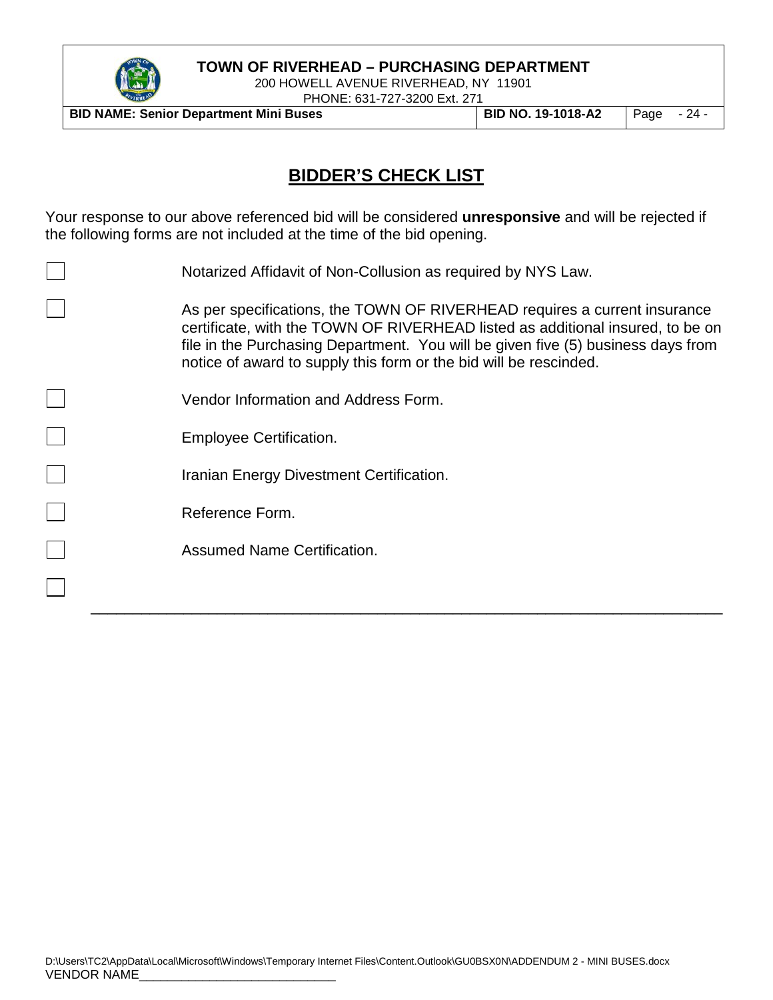

200 HOWELL AVENUE RIVERHEAD, NY 11901 PHONE: 631-727-3200 Ext. 271

**BID NAME: Senior Department Mini Buses BID NO. 19-1018-A2** Page - 24 -

# **BIDDER'S CHECK LIST**

Your response to our above referenced bid will be considered **unresponsive** and will be rejected if the following forms are not included at the time of the bid opening.

| Notarized Affidavit of Non-Collusion as required by NYS Law.                                                                                                                                                                                                                                                         |
|----------------------------------------------------------------------------------------------------------------------------------------------------------------------------------------------------------------------------------------------------------------------------------------------------------------------|
| As per specifications, the TOWN OF RIVERHEAD requires a current insurance<br>certificate, with the TOWN OF RIVERHEAD listed as additional insured, to be on<br>file in the Purchasing Department. You will be given five (5) business days from<br>notice of award to supply this form or the bid will be rescinded. |
| Vendor Information and Address Form.                                                                                                                                                                                                                                                                                 |
| <b>Employee Certification.</b>                                                                                                                                                                                                                                                                                       |
| Iranian Energy Divestment Certification.                                                                                                                                                                                                                                                                             |
| Reference Form.                                                                                                                                                                                                                                                                                                      |
| Assumed Name Certification.                                                                                                                                                                                                                                                                                          |
|                                                                                                                                                                                                                                                                                                                      |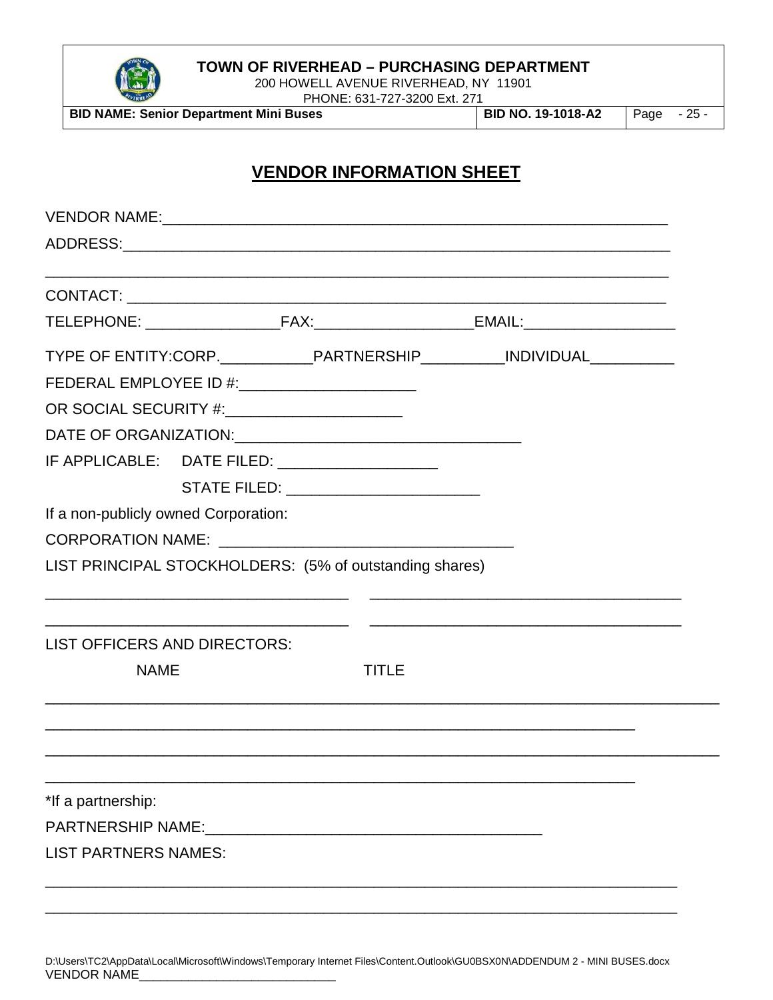

200 HOWELL AVENUE RIVERHEAD, NY 11901

**BID NAME: Senior Department Mini Buses BID NO. 19-1018-A2** Page - 25 -

PHONE: 631-727-3200 Ext. 271

# **VENDOR INFORMATION SHEET**

|                                               |                                                         | TYPE OF ENTITY:CORP._____________PARTNERSHIP___________INDIVIDUAL______________ |
|-----------------------------------------------|---------------------------------------------------------|---------------------------------------------------------------------------------|
|                                               | FEDERAL EMPLOYEE ID #:__________________________        |                                                                                 |
| OR SOCIAL SECURITY #:________________________ |                                                         |                                                                                 |
|                                               |                                                         |                                                                                 |
|                                               | IF APPLICABLE: DATE FILED: ____________________         |                                                                                 |
|                                               | STATE FILED: ___________________________                |                                                                                 |
| If a non-publicly owned Corporation:          |                                                         |                                                                                 |
|                                               |                                                         |                                                                                 |
|                                               | LIST PRINCIPAL STOCKHOLDERS: (5% of outstanding shares) |                                                                                 |
|                                               |                                                         |                                                                                 |
| LIST OFFICERS AND DIRECTORS:                  |                                                         |                                                                                 |
| <b>NAME</b>                                   | <b>TITLE</b>                                            |                                                                                 |
|                                               |                                                         |                                                                                 |
|                                               |                                                         |                                                                                 |
| *If a partnership:                            |                                                         |                                                                                 |
|                                               |                                                         |                                                                                 |
| <b>LIST PARTNERS NAMES:</b>                   |                                                         |                                                                                 |
|                                               |                                                         |                                                                                 |
|                                               |                                                         |                                                                                 |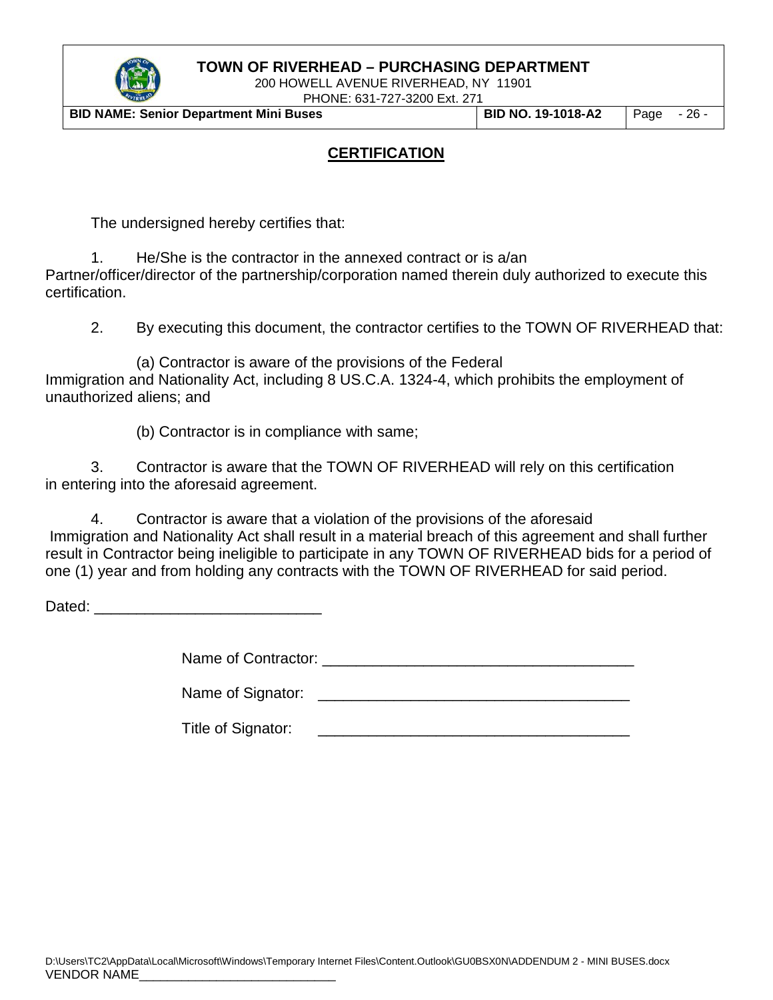

200 HOWELL AVENUE RIVERHEAD, NY 11901 PHONE: 631-727-3200 Ext. 271

**BID NAME: Senior Department Mini Buses BID NO. 19-1018-A2** Page - 26 -

## **CERTIFICATION**

The undersigned hereby certifies that:

1. He/She is the contractor in the annexed contract or is a/an Partner/officer/director of the partnership/corporation named therein duly authorized to execute this certification.

2. By executing this document, the contractor certifies to the TOWN OF RIVERHEAD that:

(a) Contractor is aware of the provisions of the Federal Immigration and Nationality Act, including 8 US.C.A. 1324-4, which prohibits the employment of unauthorized aliens; and

(b) Contractor is in compliance with same;

3. Contractor is aware that the TOWN OF RIVERHEAD will rely on this certification in entering into the aforesaid agreement.

4. Contractor is aware that a violation of the provisions of the aforesaid Immigration and Nationality Act shall result in a material breach of this agreement and shall further result in Contractor being ineligible to participate in any TOWN OF RIVERHEAD bids for a period of one (1) year and from holding any contracts with the TOWN OF RIVERHEAD for said period.

Dated: \_\_\_\_\_\_\_\_\_\_\_\_\_\_\_\_\_\_\_\_\_\_\_\_\_\_\_

Name of Contractor: \_\_\_\_\_\_\_\_\_\_\_\_\_\_\_\_\_\_\_\_\_\_\_\_\_\_\_\_\_\_\_\_\_\_\_\_\_

Name of Signator: \_\_\_\_\_\_\_\_\_\_\_\_\_\_\_\_\_\_\_\_\_\_\_\_\_\_\_\_\_\_\_\_\_\_\_\_\_

Title of Signator: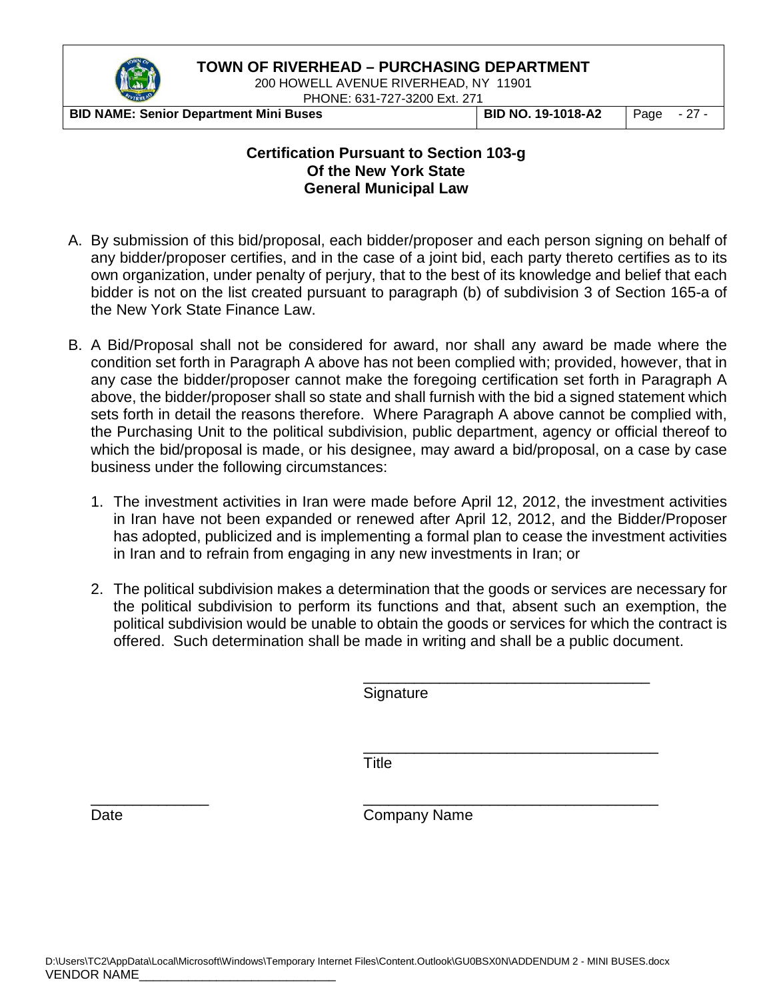

200 HOWELL AVENUE RIVERHEAD, NY 11901 PHONE: 631-727-3200 Ext. 271

**BID NAME: Senior Department Mini Buses BID NO. 19-1018-A2** Page - 27 -

#### **Certification Pursuant to Section 103-g Of the New York State General Municipal Law**

- A. By submission of this bid/proposal, each bidder/proposer and each person signing on behalf of any bidder/proposer certifies, and in the case of a joint bid, each party thereto certifies as to its own organization, under penalty of perjury, that to the best of its knowledge and belief that each bidder is not on the list created pursuant to paragraph (b) of subdivision 3 of Section 165-a of the New York State Finance Law.
- B. A Bid/Proposal shall not be considered for award, nor shall any award be made where the condition set forth in Paragraph A above has not been complied with; provided, however, that in any case the bidder/proposer cannot make the foregoing certification set forth in Paragraph A above, the bidder/proposer shall so state and shall furnish with the bid a signed statement which sets forth in detail the reasons therefore. Where Paragraph A above cannot be complied with, the Purchasing Unit to the political subdivision, public department, agency or official thereof to which the bid/proposal is made, or his designee, may award a bid/proposal, on a case by case business under the following circumstances:
	- 1. The investment activities in Iran were made before April 12, 2012, the investment activities in Iran have not been expanded or renewed after April 12, 2012, and the Bidder/Proposer has adopted, publicized and is implementing a formal plan to cease the investment activities in Iran and to refrain from engaging in any new investments in Iran; or
	- 2. The political subdivision makes a determination that the goods or services are necessary for the political subdivision to perform its functions and that, absent such an exemption, the political subdivision would be unable to obtain the goods or services for which the contract is offered. Such determination shall be made in writing and shall be a public document.

\_\_\_\_\_\_\_\_\_\_\_\_\_\_\_\_\_\_\_\_\_\_\_\_\_\_\_\_\_\_\_\_\_\_ **Signature** 

\_\_\_\_\_\_\_\_\_\_\_\_\_\_\_\_\_\_\_\_\_\_\_\_\_\_\_\_\_\_\_\_\_\_\_ **Title** 

\_\_\_\_\_\_\_\_\_\_\_\_\_\_ \_\_\_\_\_\_\_\_\_\_\_\_\_\_\_\_\_\_\_\_\_\_\_\_\_\_\_\_\_\_\_\_\_\_\_ Date **Company Name**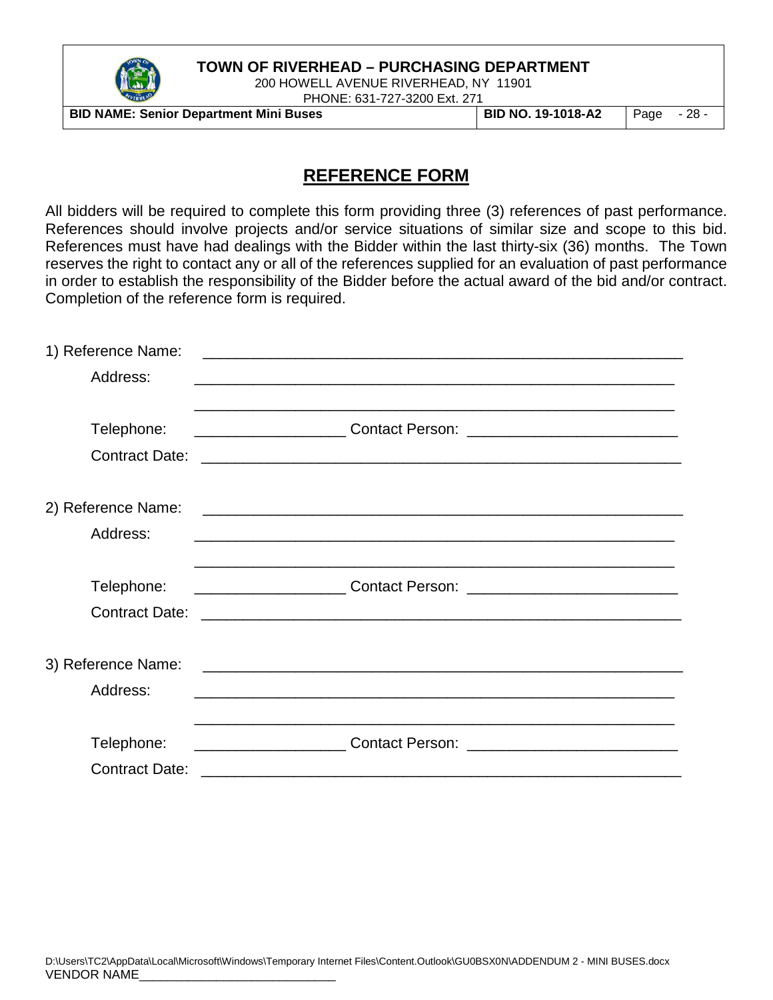

200 HOWELL AVENUE RIVERHEAD, NY 11901 PHONE: 631-727-3200 Ext. 271

**BID NAME: Senior Department Mini Buses BID NO. 19-1018-A2** Page - 28 -

## **REFERENCE FORM**

All bidders will be required to complete this form providing three (3) references of past performance. References should involve projects and/or service situations of similar size and scope to this bid. References must have had dealings with the Bidder within the last thirty-six (36) months. The Town reserves the right to contact any or all of the references supplied for an evaluation of past performance in order to establish the responsibility of the Bidder before the actual award of the bid and/or contract. Completion of the reference form is required.

| 1) Reference Name:    | and the control of the control of the control of the control of the control of the control of the control of the     |
|-----------------------|----------------------------------------------------------------------------------------------------------------------|
| Address:              |                                                                                                                      |
|                       |                                                                                                                      |
| Telephone:            |                                                                                                                      |
| <b>Contract Date:</b> |                                                                                                                      |
|                       |                                                                                                                      |
| 2) Reference Name:    | <u> 2000 - Jan James James Jan James James James James James James James James James James James James James Jam</u> |
| Address:              |                                                                                                                      |
|                       |                                                                                                                      |
| Telephone:            |                                                                                                                      |
|                       |                                                                                                                      |
|                       |                                                                                                                      |
| 3) Reference Name:    | <u> 2000 - Jan James James Barnett, martin eta idazleari (</u>                                                       |
| Address:              | <u> 1989 - Johann Johann Johann Johann Johann Johann Johann Johann Johann Johann Johann Johann Johann Johann Joh</u> |
|                       |                                                                                                                      |
| Telephone:            |                                                                                                                      |
| <b>Contract Date:</b> | <u> 1989 - Andrea Branden, amerikan basar personal di sebagai personal di sebagai personal di sebagai personal d</u> |
|                       |                                                                                                                      |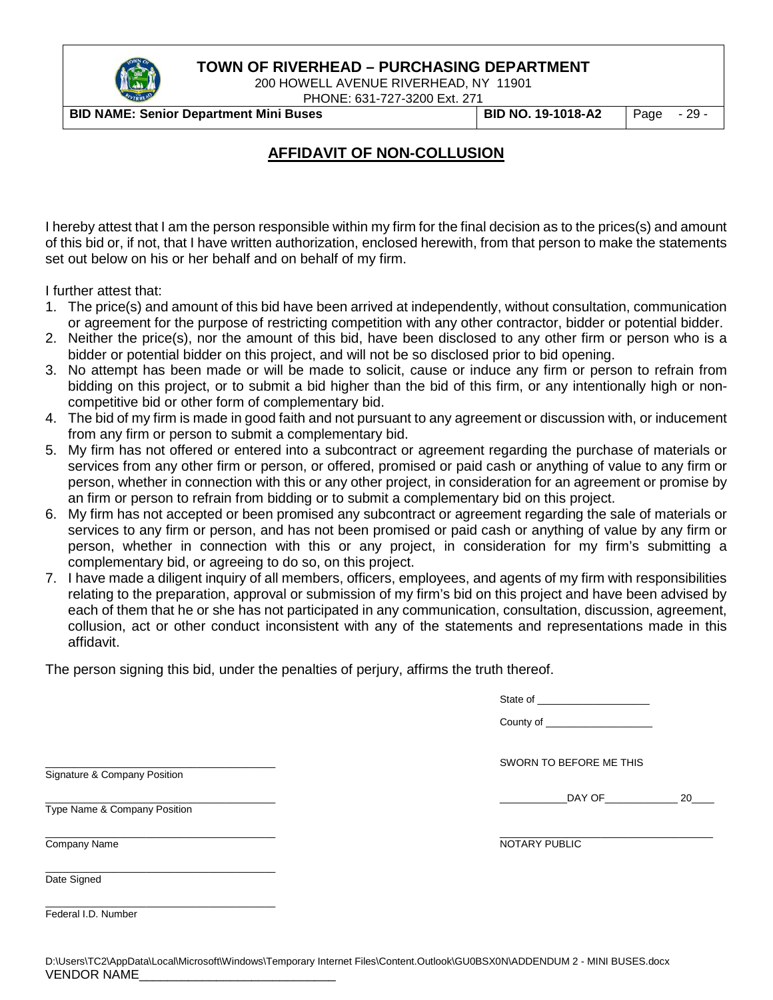

200 HOWELL AVENUE RIVERHEAD, NY 11901 PHONE: 631-727-3200 Ext. 271

**BID NAME: Senior Department Mini Buses BID NO. 19-1018-A2** Page - 29 -

## **AFFIDAVIT OF NON-COLLUSION**

I hereby attest that I am the person responsible within my firm for the final decision as to the prices(s) and amount of this bid or, if not, that I have written authorization, enclosed herewith, from that person to make the statements set out below on his or her behalf and on behalf of my firm.

I further attest that:

- 1. The price(s) and amount of this bid have been arrived at independently, without consultation, communication or agreement for the purpose of restricting competition with any other contractor, bidder or potential bidder.
- 2. Neither the price(s), nor the amount of this bid, have been disclosed to any other firm or person who is a bidder or potential bidder on this project, and will not be so disclosed prior to bid opening.
- 3. No attempt has been made or will be made to solicit, cause or induce any firm or person to refrain from bidding on this project, or to submit a bid higher than the bid of this firm, or any intentionally high or noncompetitive bid or other form of complementary bid.
- 4. The bid of my firm is made in good faith and not pursuant to any agreement or discussion with, or inducement from any firm or person to submit a complementary bid.
- 5. My firm has not offered or entered into a subcontract or agreement regarding the purchase of materials or services from any other firm or person, or offered, promised or paid cash or anything of value to any firm or person, whether in connection with this or any other project, in consideration for an agreement or promise by an firm or person to refrain from bidding or to submit a complementary bid on this project.
- 6. My firm has not accepted or been promised any subcontract or agreement regarding the sale of materials or services to any firm or person, and has not been promised or paid cash or anything of value by any firm or person, whether in connection with this or any project, in consideration for my firm's submitting a complementary bid, or agreeing to do so, on this project.
- 7. I have made a diligent inquiry of all members, officers, employees, and agents of my firm with responsibilities relating to the preparation, approval or submission of my firm's bid on this project and have been advised by each of them that he or she has not participated in any communication, consultation, discussion, agreement, collusion, act or other conduct inconsistent with any of the statements and representations made in this affidavit.

The person signing this bid, under the penalties of perjury, affirms the truth thereof.

| County of ______________________                                                                               |    |
|----------------------------------------------------------------------------------------------------------------|----|
| SWORN TO BEFORE ME THIS                                                                                        |    |
| DAY OF THE RESIDENCE OF THE RESIDENCE OF THE RESIDENCE OF THE RESIDENCE OF THE RESIDENCE OF THE RESIDENCE OF T | 20 |
| NOTARY PUBLIC                                                                                                  |    |
|                                                                                                                |    |
|                                                                                                                |    |
|                                                                                                                |    |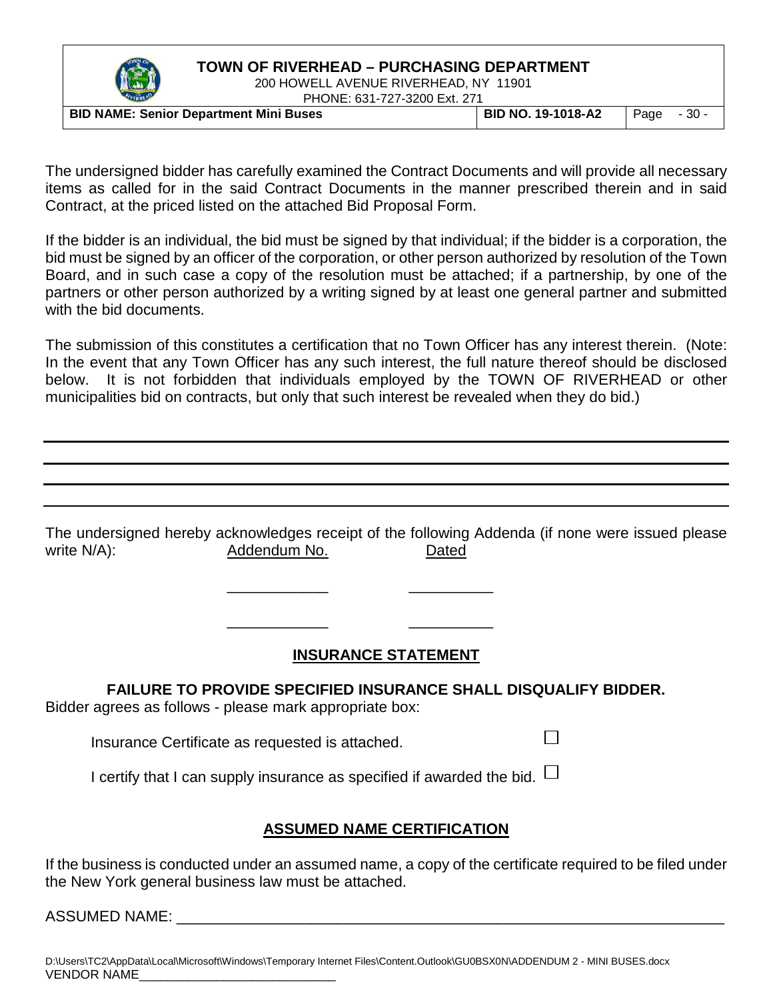

200 HOWELL AVENUE RIVERHEAD, NY 11901 PHONE: 631-727-3200 Ext. 271

| <b>TIONE.</b> 001-121-0200 LAI. 21 I          |                           |              |  |
|-----------------------------------------------|---------------------------|--------------|--|
| <b>BID NAME: Senior Department Mini Buses</b> | <b>BID NO. 19-1018-A2</b> | $Page -30 -$ |  |

The undersigned bidder has carefully examined the Contract Documents and will provide all necessary items as called for in the said Contract Documents in the manner prescribed therein and in said Contract, at the priced listed on the attached Bid Proposal Form.

If the bidder is an individual, the bid must be signed by that individual; if the bidder is a corporation, the bid must be signed by an officer of the corporation, or other person authorized by resolution of the Town Board, and in such case a copy of the resolution must be attached; if a partnership, by one of the partners or other person authorized by a writing signed by at least one general partner and submitted with the bid documents.

The submission of this constitutes a certification that no Town Officer has any interest therein. (Note: In the event that any Town Officer has any such interest, the full nature thereof should be disclosed below. It is not forbidden that individuals employed by the TOWN OF RIVERHEAD or other municipalities bid on contracts, but only that such interest be revealed when they do bid.)

The undersigned hereby acknowledges receipt of the following Addenda (if none were issued please write N/A): Contract Addendum No. Contract Dated

## **INSURANCE STATEMENT**

П

**FAILURE TO PROVIDE SPECIFIED INSURANCE SHALL DISQUALIFY BIDDER.** Bidder agrees as follows - please mark appropriate box:

\_\_\_\_\_\_\_\_\_\_\_\_ \_\_\_\_\_\_\_\_\_\_

\_\_\_\_\_\_\_\_\_\_\_\_ \_\_\_\_\_\_\_\_\_\_

Insurance Certificate as requested is attached.

I certify that I can supply insurance as specified if awarded the bid.  $\Box$ 

#### **ASSUMED NAME CERTIFICATION**

If the business is conducted under an assumed name, a copy of the certificate required to be filed under the New York general business law must be attached.

ASSUMED NAME:  $\blacksquare$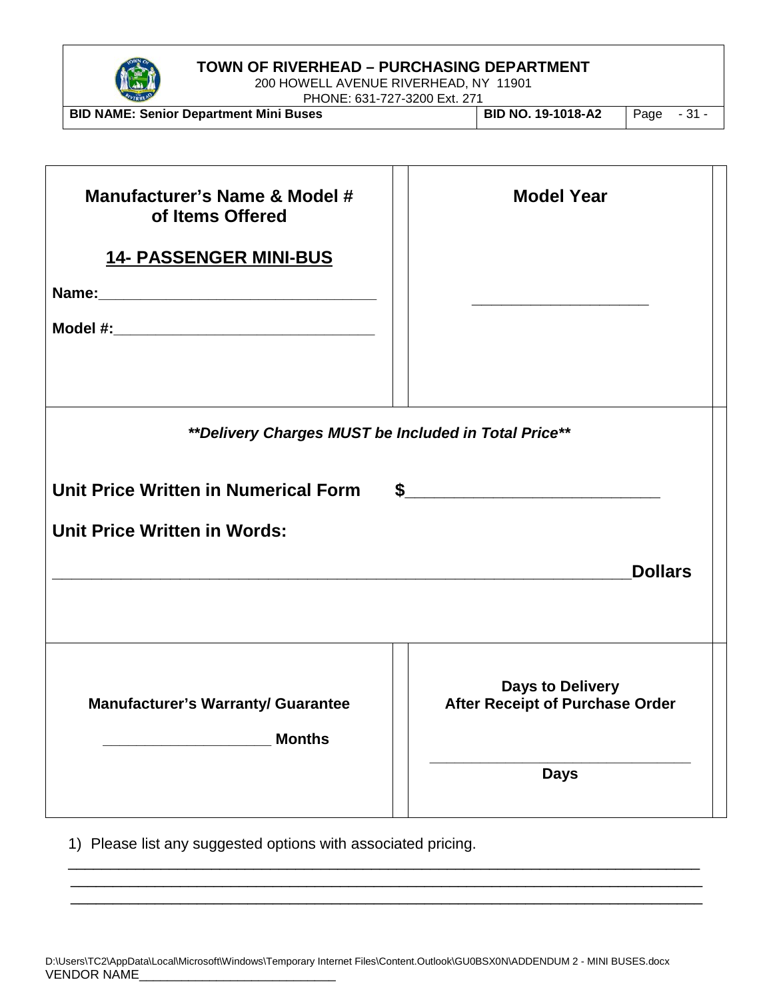

200 HOWELL AVENUE RIVERHEAD, NY 11901

PHONE: 631-727-3200 Ext. 271 **BID NAME: Senior Department Mini Buses BID NO. 19-1018-A2** Page - 31 -

| Manufacturer's Name & Model #<br>of Items Offered<br><b>14- PASSENGER MINI-BUS</b>                                                         | <b>Model Year</b><br>the control of the control of the control of the control of |
|--------------------------------------------------------------------------------------------------------------------------------------------|----------------------------------------------------------------------------------|
| ** Delivery Charges MUST be Included in Total Price**                                                                                      |                                                                                  |
| Unit Price Written in Numerical Form<br><b>Unit Price Written in Words:</b><br><u> 1989 - Johann Stoff, amerikansk politiker (d. 1989)</u> | $\sim$<br><b>Dollars</b>                                                         |
| <b>Manufacturer's Warranty/ Guarantee</b><br><b>Months</b>                                                                                 | <b>Days to Delivery</b><br>After Receipt of Purchase Order<br><b>Days</b>        |

1) Please list any suggested options with associated pricing.

\_\_\_\_\_\_\_\_\_\_\_\_\_\_\_\_\_\_\_\_\_\_\_\_\_\_\_\_\_\_\_\_\_\_\_\_\_\_\_\_\_\_\_\_\_\_\_\_\_\_\_\_\_\_\_\_\_\_\_\_\_\_\_\_\_\_\_\_\_\_\_\_\_\_\_ \_\_\_\_\_\_\_\_\_\_\_\_\_\_\_\_\_\_\_\_\_\_\_\_\_\_\_\_\_\_\_\_\_\_\_\_\_\_\_\_\_\_\_\_\_\_\_\_\_\_\_\_\_\_\_\_\_\_\_\_\_\_\_\_\_\_\_\_\_\_\_\_\_\_\_ \_\_\_\_\_\_\_\_\_\_\_\_\_\_\_\_\_\_\_\_\_\_\_\_\_\_\_\_\_\_\_\_\_\_\_\_\_\_\_\_\_\_\_\_\_\_\_\_\_\_\_\_\_\_\_\_\_\_\_\_\_\_\_\_\_\_\_\_\_\_\_\_\_\_\_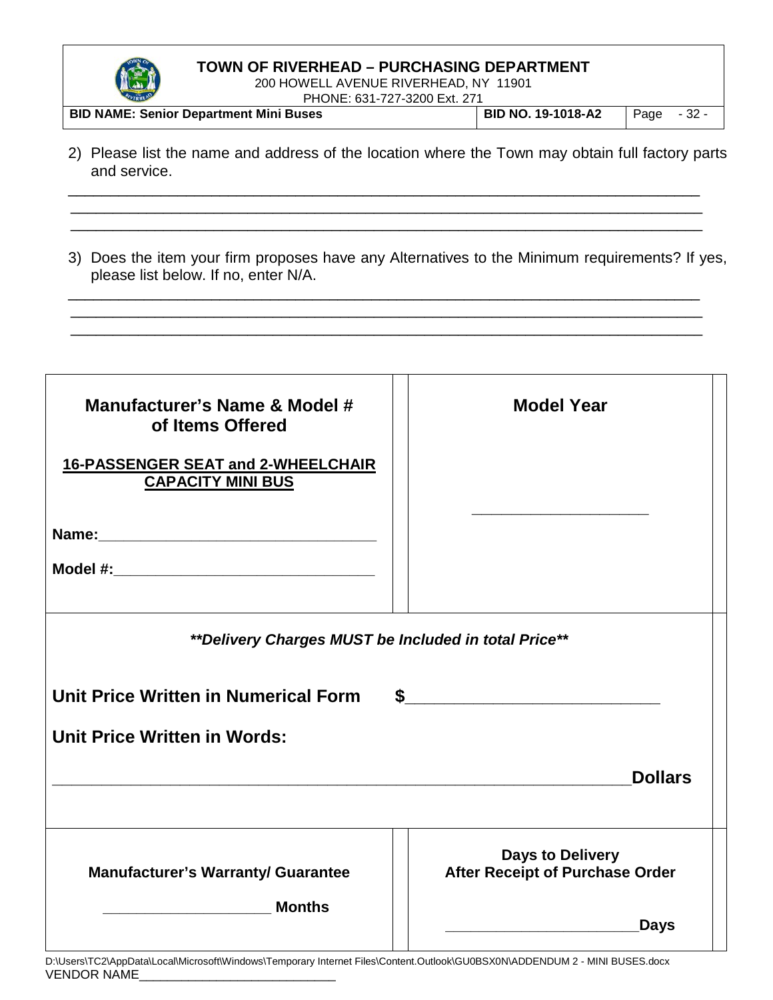

200 HOWELL AVENUE RIVERHEAD, NY 11901 PHONE: 631-727-3200 Ext. 271

| -------                                       | $\Gamma$ i IVINL. 03 1-727-3200 LAL 27 T |      |        |
|-----------------------------------------------|------------------------------------------|------|--------|
| <b>BID NAME: Senior Department Mini Buses</b> | <b>BID NO. 19-1018-A2</b>                | Page | $-32-$ |

2) Please list the name and address of the location where the Town may obtain full factory parts and service.

\_\_\_\_\_\_\_\_\_\_\_\_\_\_\_\_\_\_\_\_\_\_\_\_\_\_\_\_\_\_\_\_\_\_\_\_\_\_\_\_\_\_\_\_\_\_\_\_\_\_\_\_\_\_\_\_\_\_\_\_\_\_\_\_\_\_\_\_\_\_\_\_\_\_\_ \_\_\_\_\_\_\_\_\_\_\_\_\_\_\_\_\_\_\_\_\_\_\_\_\_\_\_\_\_\_\_\_\_\_\_\_\_\_\_\_\_\_\_\_\_\_\_\_\_\_\_\_\_\_\_\_\_\_\_\_\_\_\_\_\_\_\_\_\_\_\_\_\_\_\_ \_\_\_\_\_\_\_\_\_\_\_\_\_\_\_\_\_\_\_\_\_\_\_\_\_\_\_\_\_\_\_\_\_\_\_\_\_\_\_\_\_\_\_\_\_\_\_\_\_\_\_\_\_\_\_\_\_\_\_\_\_\_\_\_\_\_\_\_\_\_\_\_\_\_\_

3) Does the item your firm proposes have any Alternatives to the Minimum requirements? If yes, please list below. If no, enter N/A.

\_\_\_\_\_\_\_\_\_\_\_\_\_\_\_\_\_\_\_\_\_\_\_\_\_\_\_\_\_\_\_\_\_\_\_\_\_\_\_\_\_\_\_\_\_\_\_\_\_\_\_\_\_\_\_\_\_\_\_\_\_\_\_\_\_\_\_\_\_\_\_\_\_\_\_ \_\_\_\_\_\_\_\_\_\_\_\_\_\_\_\_\_\_\_\_\_\_\_\_\_\_\_\_\_\_\_\_\_\_\_\_\_\_\_\_\_\_\_\_\_\_\_\_\_\_\_\_\_\_\_\_\_\_\_\_\_\_\_\_\_\_\_\_\_\_\_\_\_\_\_ \_\_\_\_\_\_\_\_\_\_\_\_\_\_\_\_\_\_\_\_\_\_\_\_\_\_\_\_\_\_\_\_\_\_\_\_\_\_\_\_\_\_\_\_\_\_\_\_\_\_\_\_\_\_\_\_\_\_\_\_\_\_\_\_\_\_\_\_\_\_\_\_\_\_\_

| Manufacturer's Name & Model #<br>of Items Offered<br><b>16-PASSENGER SEAT and 2-WHEELCHAIR</b><br><b>CAPACITY MINI BUS</b> | <b>Model Year</b>                                          |
|----------------------------------------------------------------------------------------------------------------------------|------------------------------------------------------------|
| **Delivery Charges MUST be Included in total Price**                                                                       |                                                            |
| Unit Price Written in Numerical Form                                                                                       | $\sim$                                                     |
| <b>Unit Price Written in Words:</b>                                                                                        |                                                            |
|                                                                                                                            | <b>Dollars</b>                                             |
| <b>Manufacturer's Warranty/ Guarantee</b>                                                                                  | <b>Days to Delivery</b><br>After Receipt of Purchase Order |
| <b>Months</b>                                                                                                              | <b>Days</b>                                                |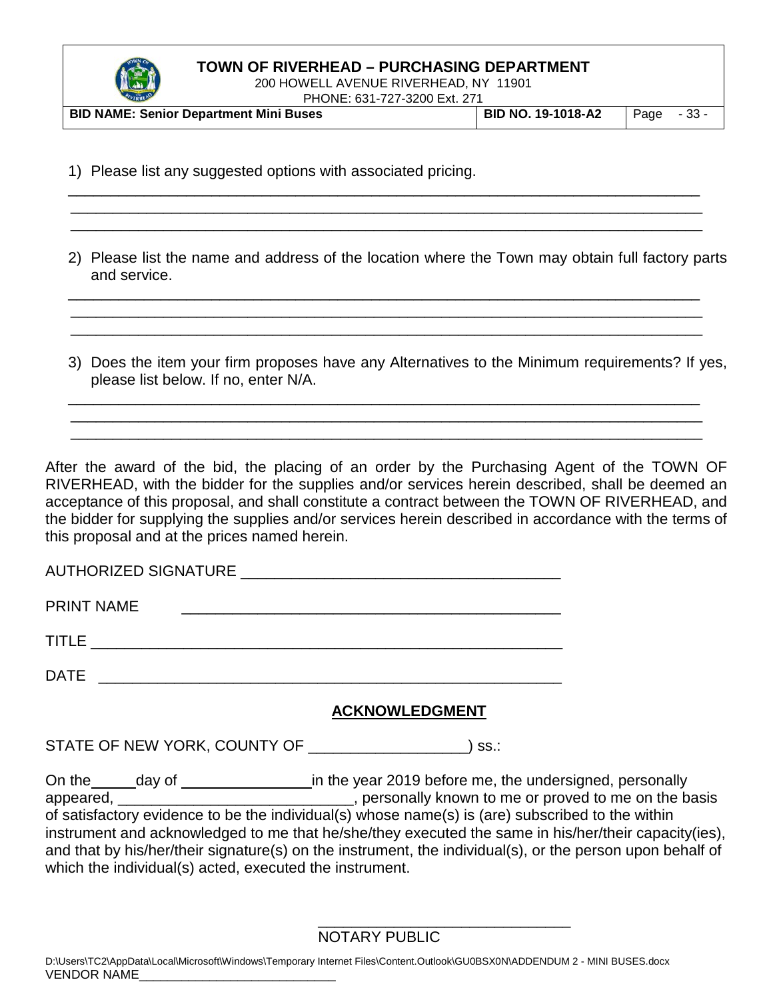

200 HOWELL AVENUE RIVERHEAD, NY 11901 PHONE: 631-727-3200 Ext. 271

| <b>BID NAME: Senior Department Mini Buses</b> | <b>BID NO. 19-1018-A2</b> |  | $Page - 33 -$ |
|-----------------------------------------------|---------------------------|--|---------------|

\_\_\_\_\_\_\_\_\_\_\_\_\_\_\_\_\_\_\_\_\_\_\_\_\_\_\_\_\_\_\_\_\_\_\_\_\_\_\_\_\_\_\_\_\_\_\_\_\_\_\_\_\_\_\_\_\_\_\_\_\_\_\_\_\_\_\_\_\_\_\_\_\_\_\_ \_\_\_\_\_\_\_\_\_\_\_\_\_\_\_\_\_\_\_\_\_\_\_\_\_\_\_\_\_\_\_\_\_\_\_\_\_\_\_\_\_\_\_\_\_\_\_\_\_\_\_\_\_\_\_\_\_\_\_\_\_\_\_\_\_\_\_\_\_\_\_\_\_\_\_ \_\_\_\_\_\_\_\_\_\_\_\_\_\_\_\_\_\_\_\_\_\_\_\_\_\_\_\_\_\_\_\_\_\_\_\_\_\_\_\_\_\_\_\_\_\_\_\_\_\_\_\_\_\_\_\_\_\_\_\_\_\_\_\_\_\_\_\_\_\_\_\_\_\_\_

1) Please list any suggested options with associated pricing.

2) Please list the name and address of the location where the Town may obtain full factory parts and service.

\_\_\_\_\_\_\_\_\_\_\_\_\_\_\_\_\_\_\_\_\_\_\_\_\_\_\_\_\_\_\_\_\_\_\_\_\_\_\_\_\_\_\_\_\_\_\_\_\_\_\_\_\_\_\_\_\_\_\_\_\_\_\_\_\_\_\_\_\_\_\_\_\_\_\_ \_\_\_\_\_\_\_\_\_\_\_\_\_\_\_\_\_\_\_\_\_\_\_\_\_\_\_\_\_\_\_\_\_\_\_\_\_\_\_\_\_\_\_\_\_\_\_\_\_\_\_\_\_\_\_\_\_\_\_\_\_\_\_\_\_\_\_\_\_\_\_\_\_\_\_ \_\_\_\_\_\_\_\_\_\_\_\_\_\_\_\_\_\_\_\_\_\_\_\_\_\_\_\_\_\_\_\_\_\_\_\_\_\_\_\_\_\_\_\_\_\_\_\_\_\_\_\_\_\_\_\_\_\_\_\_\_\_\_\_\_\_\_\_\_\_\_\_\_\_\_

3) Does the item your firm proposes have any Alternatives to the Minimum requirements? If yes, please list below. If no, enter N/A.

\_\_\_\_\_\_\_\_\_\_\_\_\_\_\_\_\_\_\_\_\_\_\_\_\_\_\_\_\_\_\_\_\_\_\_\_\_\_\_\_\_\_\_\_\_\_\_\_\_\_\_\_\_\_\_\_\_\_\_\_\_\_\_\_\_\_\_\_\_\_\_\_\_\_\_ \_\_\_\_\_\_\_\_\_\_\_\_\_\_\_\_\_\_\_\_\_\_\_\_\_\_\_\_\_\_\_\_\_\_\_\_\_\_\_\_\_\_\_\_\_\_\_\_\_\_\_\_\_\_\_\_\_\_\_\_\_\_\_\_\_\_\_\_\_\_\_\_\_\_\_ \_\_\_\_\_\_\_\_\_\_\_\_\_\_\_\_\_\_\_\_\_\_\_\_\_\_\_\_\_\_\_\_\_\_\_\_\_\_\_\_\_\_\_\_\_\_\_\_\_\_\_\_\_\_\_\_\_\_\_\_\_\_\_\_\_\_\_\_\_\_\_\_\_\_\_

After the award of the bid, the placing of an order by the Purchasing Agent of the TOWN OF RIVERHEAD, with the bidder for the supplies and/or services herein described, shall be deemed an acceptance of this proposal, and shall constitute a contract between the TOWN OF RIVERHEAD, and the bidder for supplying the supplies and/or services herein described in accordance with the terms of this proposal and at the prices named herein.

| <b>PRINT NAME</b>                                                     |
|-----------------------------------------------------------------------|
|                                                                       |
| DATE<br><u> 1989 - Jan Samuel Barbara, margaret e</u> n 1980 eta 1980 |

## **ACKNOWLEDGMENT**

STATE OF NEW YORK, COUNTY OF \_\_\_\_\_\_\_\_\_\_\_\_\_\_\_\_\_\_\_\_\_\_) ss.:

On the \_\_\_\_\_day of \_\_\_\_\_\_\_\_\_\_\_\_\_\_\_\_\_\_\_in the year 2019 before me, the undersigned, personally appeared, \_\_\_\_\_\_\_\_\_\_\_\_\_\_\_\_\_\_\_\_\_\_\_\_\_\_\_\_\_\_\_, personally known to me or proved to me on the basis of satisfactory evidence to be the individual(s) whose name(s) is (are) subscribed to the within instrument and acknowledged to me that he/she/they executed the same in his/her/their capacity(ies), and that by his/her/their signature(s) on the instrument, the individual(s), or the person upon behalf of which the individual(s) acted, executed the instrument.

NOTARY PUBLIC

\_\_\_\_\_\_\_\_\_\_\_\_\_\_\_\_\_\_\_\_\_\_\_\_\_\_\_\_\_\_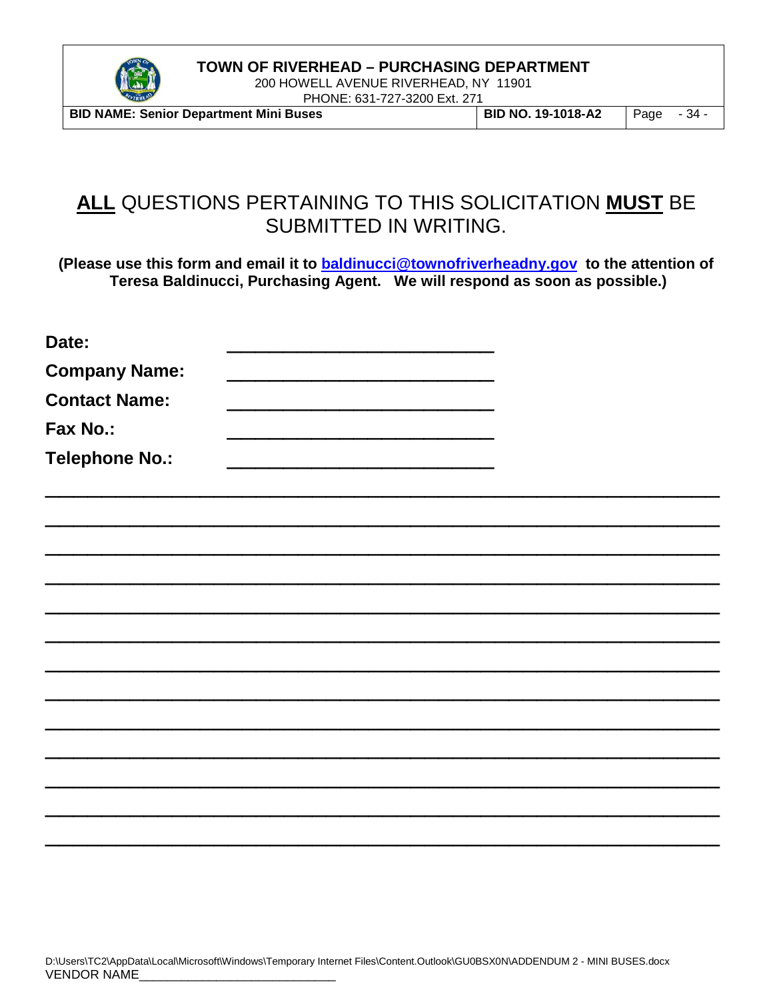

200 HOWELL AVENUE RIVERHEAD, NY 11901 PHONE: 631-727-3200 Ext. 271

**BID NAME: Senior Department Mini Buses BID NO. 19-1018-A2** Page - 34 -

# **ALL** QUESTIONS PERTAINING TO THIS SOLICITATION **MUST** BE SUBMITTED IN WRITING.

**(Please use this form and email it to [baldinucci@townofriverheadny.gov](mailto:baldinucci@townofriverheadny.gov) to the attention of Teresa Baldinucci, Purchasing Agent. We will respond as soon as possible.)**

| Date:                 |  |  |  |
|-----------------------|--|--|--|
| <b>Company Name:</b>  |  |  |  |
| <b>Contact Name:</b>  |  |  |  |
| Fax No.:              |  |  |  |
| <b>Telephone No.:</b> |  |  |  |
|                       |  |  |  |
|                       |  |  |  |
|                       |  |  |  |
|                       |  |  |  |
|                       |  |  |  |
|                       |  |  |  |
|                       |  |  |  |
|                       |  |  |  |
|                       |  |  |  |
|                       |  |  |  |
|                       |  |  |  |
|                       |  |  |  |
|                       |  |  |  |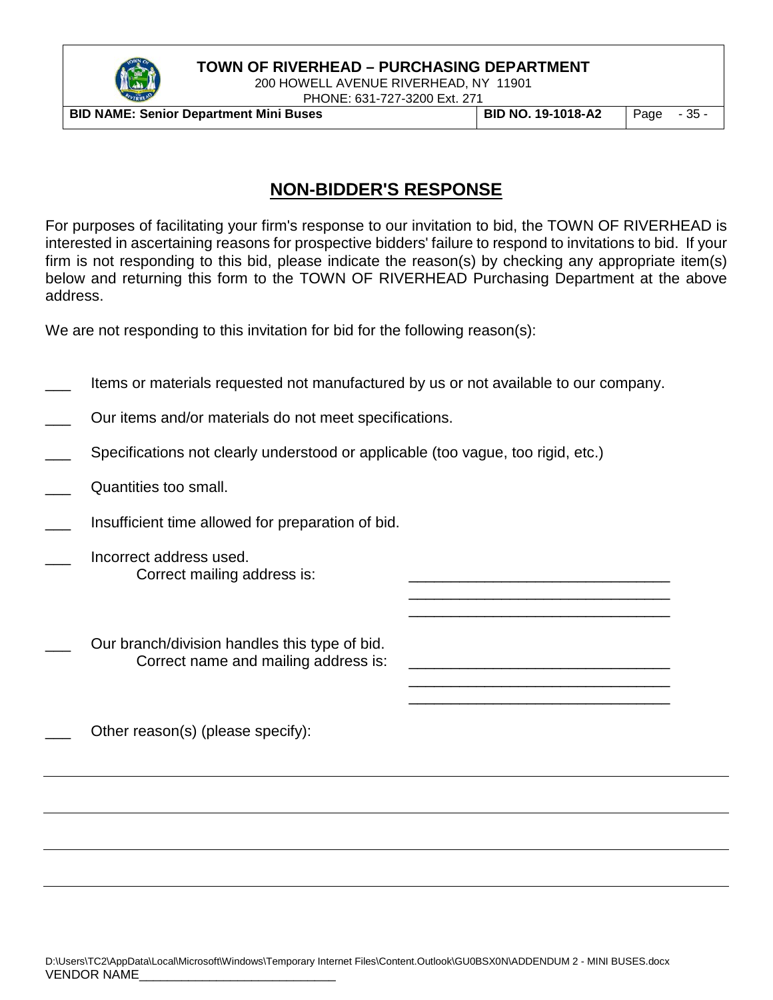

200 HOWELL AVENUE RIVERHEAD, NY 11901 PHONE: 631-727-3200 Ext. 271

**BID NAME: Senior Department Mini Buses BID NO. 19-1018-A2** Page - 35 -

\_\_\_\_\_\_\_\_\_\_\_\_\_\_\_\_\_\_\_\_\_\_\_\_\_\_\_\_\_\_\_ \_\_\_\_\_\_\_\_\_\_\_\_\_\_\_\_\_\_\_\_\_\_\_\_\_\_\_\_\_\_\_

\_\_\_\_\_\_\_\_\_\_\_\_\_\_\_\_\_\_\_\_\_\_\_\_\_\_\_\_\_\_\_ \_\_\_\_\_\_\_\_\_\_\_\_\_\_\_\_\_\_\_\_\_\_\_\_\_\_\_\_\_\_\_

## **NON-BIDDER'S RESPONSE**

For purposes of facilitating your firm's response to our invitation to bid, the TOWN OF RIVERHEAD is interested in ascertaining reasons for prospective bidders' failure to respond to invitations to bid. If your firm is not responding to this bid, please indicate the reason(s) by checking any appropriate item(s) below and returning this form to the TOWN OF RIVERHEAD Purchasing Department at the above address.

We are not responding to this invitation for bid for the following reason(s):

- Items or materials requested not manufactured by us or not available to our company.
- Our items and/or materials do not meet specifications.
- Specifications not clearly understood or applicable (too vague, too rigid, etc.)
- Quantities too small.
- Insufficient time allowed for preparation of bid.
- \_\_\_ Incorrect address used. Correct mailing address is:
- Our branch/division handles this type of bid. Correct name and mailing address is:
- Other reason(s) (please specify):